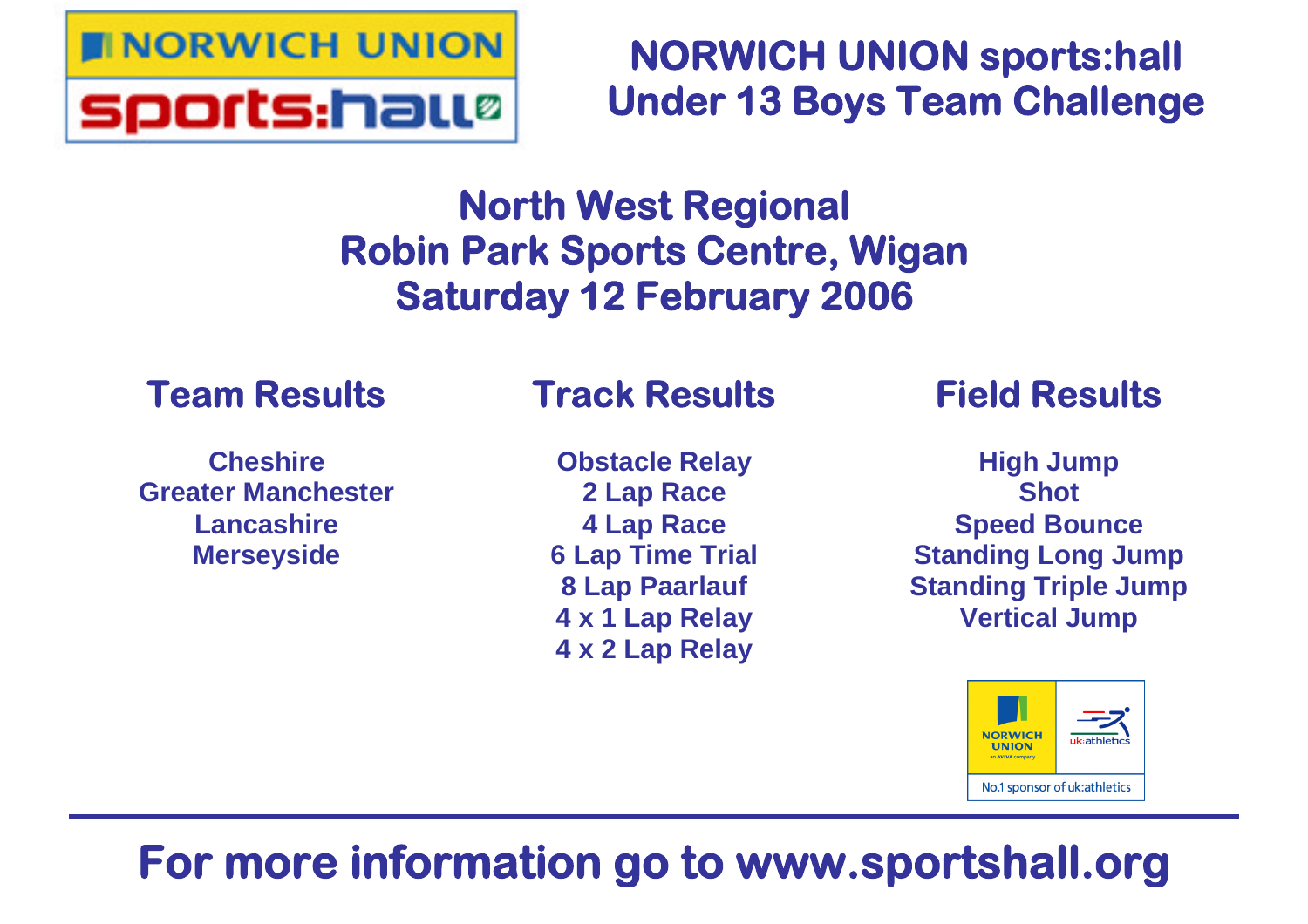

**NORWICH UNION sports:hall Under 13 Boys Team Challenge**

# **North West Regional Robin Park Sports Centre, Wigan Saturday 12 February 2006**

## **Team Results**

### **Cheshire Greater Manchester Lancashire Merseyside**

## **Track Results**

**Obstacle Relay 2 Lap Race 4 Lap Race 6 Lap Time Trial 8 Lap Paarlauf 4 x 1 Lap Relay 4 x 2 Lap Relay**

## **Field Results**

**High Jump Shot Speed Bounce Standing Long Jump Standing Triple Jump Vertical Jump**



# **For more information go to www.sportshall.org**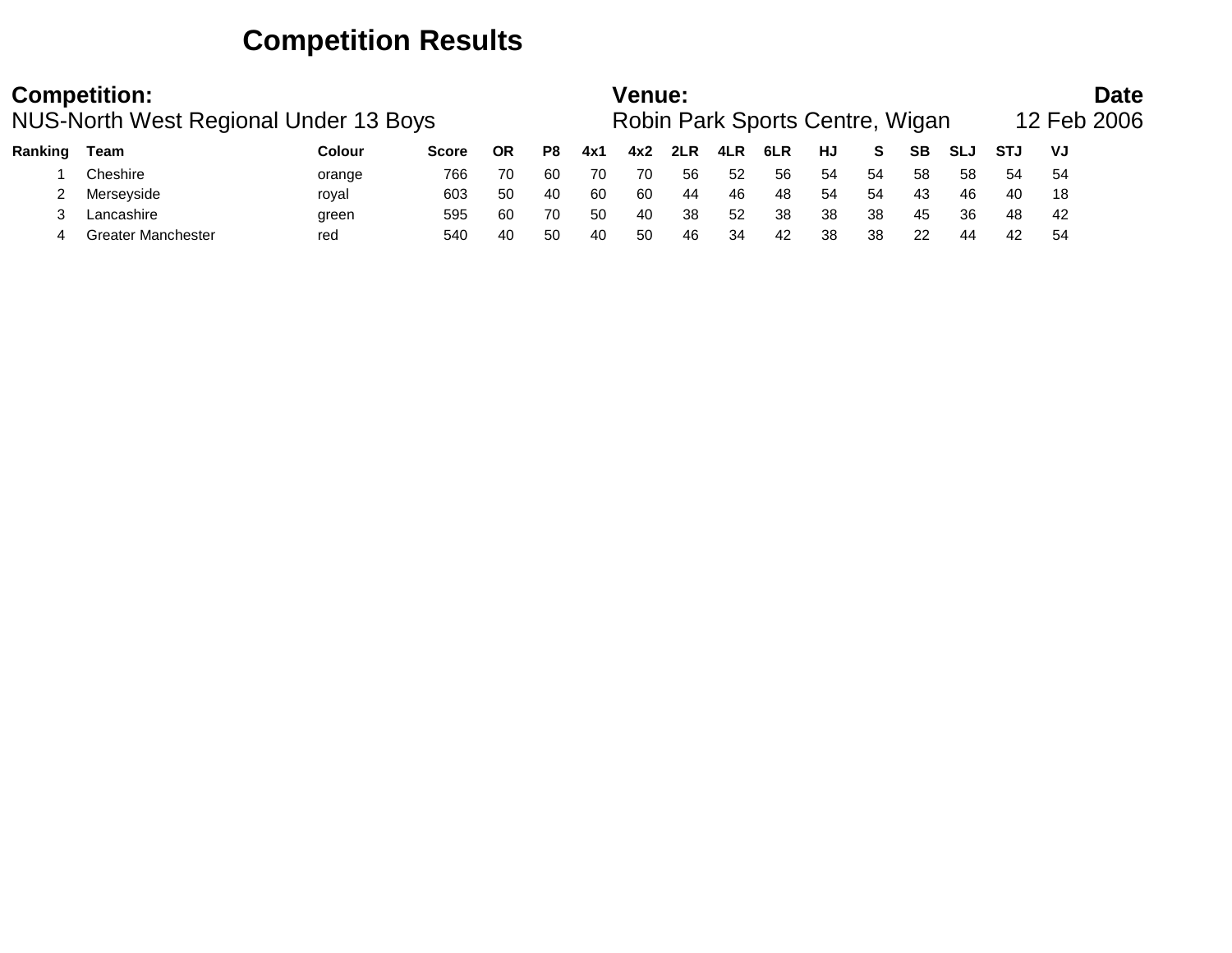## **Competition Results**

|         | <b>Competition:</b><br>NUS-North West Regional Under 13 Boys |     | Venue:<br>Robin Park Sports Centre, Wigan<br>HJ<br><b>SB</b><br>Colour<br>P8<br>6LR<br><b>SLJ</b><br>ΟR<br>2LR<br>4LR<br>S.<br>4x1<br>4x2<br><b>Score</b><br>54<br>58<br>54<br>58<br>52<br>56<br>766<br>56<br>70<br>60<br>70<br>70<br>orange<br>44<br>54<br>43<br>603<br>50<br>-60<br>60<br>46<br>48<br>54<br>40<br>46<br>roval<br>38<br>36<br>38<br>38<br>60<br>50<br>38<br>52<br>45<br>40<br>595<br>70<br>green |    |    |     |    |    |    | <b>Date</b><br>12 Feb 2006 |    |    |    |    |            |     |  |
|---------|--------------------------------------------------------------|-----|-------------------------------------------------------------------------------------------------------------------------------------------------------------------------------------------------------------------------------------------------------------------------------------------------------------------------------------------------------------------------------------------------------------------|----|----|-----|----|----|----|----------------------------|----|----|----|----|------------|-----|--|
| Ranking | Team                                                         |     |                                                                                                                                                                                                                                                                                                                                                                                                                   |    |    |     |    |    |    |                            |    |    |    |    | <b>STJ</b> | VJ  |  |
|         | Cheshire                                                     |     |                                                                                                                                                                                                                                                                                                                                                                                                                   |    |    |     |    |    |    |                            |    |    |    |    | 54         | -54 |  |
|         | Merseyside                                                   |     |                                                                                                                                                                                                                                                                                                                                                                                                                   |    |    |     |    |    |    |                            |    |    |    |    | 40         | 18  |  |
|         | Lancashire                                                   |     |                                                                                                                                                                                                                                                                                                                                                                                                                   |    |    |     |    |    |    |                            |    |    |    |    | 48         | -42 |  |
|         | Greater Manchester                                           | red | 540                                                                                                                                                                                                                                                                                                                                                                                                               | 40 | 50 | -40 | 50 | 46 | 34 | 42                         | 38 | 38 | 22 | 44 | 42         | -54 |  |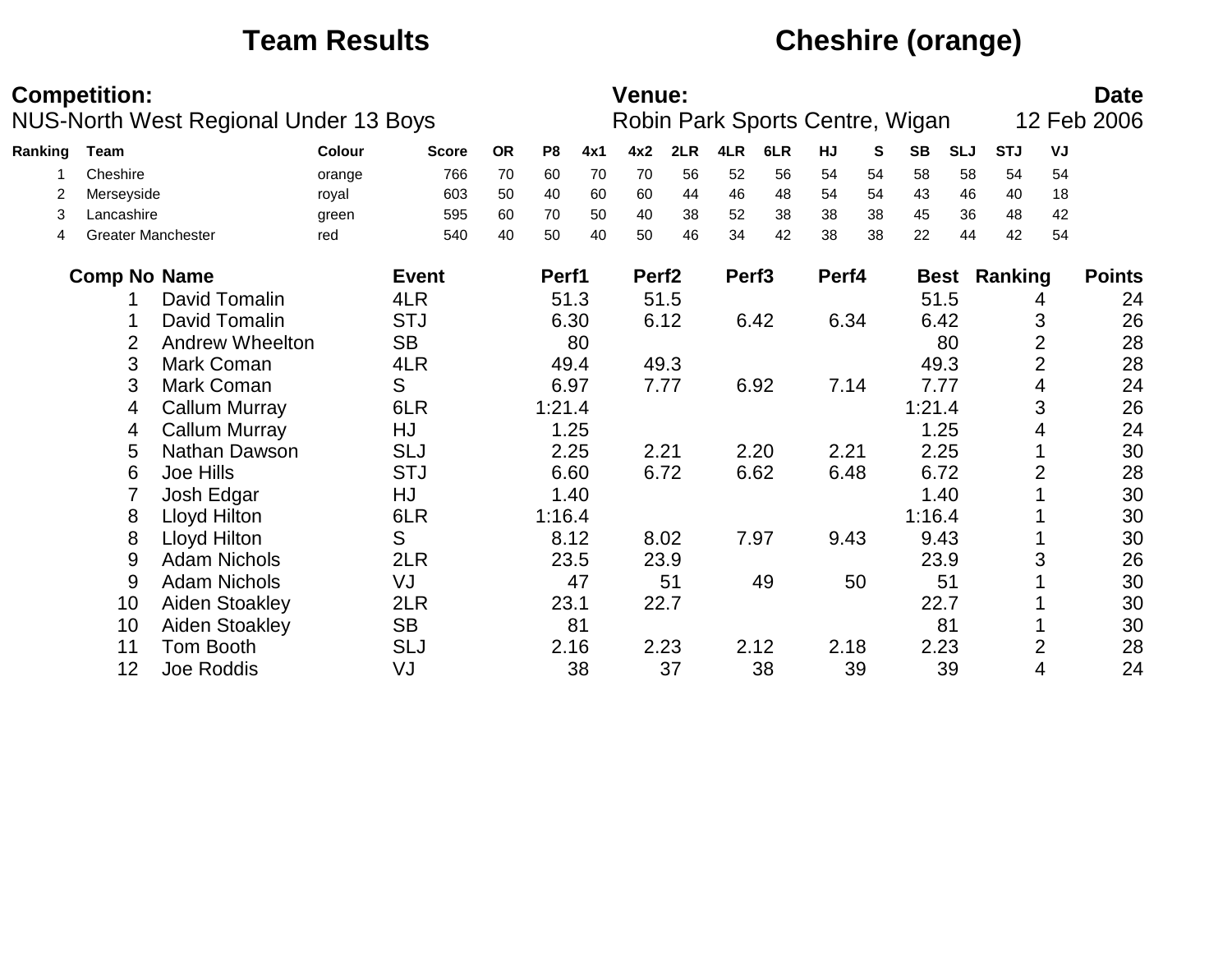## **Team Results Cheshire (orange)**

|         | <b>Competition:</b>       |                                              |        |              |           |                |      | <b>Venue:</b>     |      |                   |                                 |       |    |           |             |            |                | <b>Date</b>   |
|---------|---------------------------|----------------------------------------------|--------|--------------|-----------|----------------|------|-------------------|------|-------------------|---------------------------------|-------|----|-----------|-------------|------------|----------------|---------------|
|         |                           | <b>NUS-North West Regional Under 13 Boys</b> |        |              |           |                |      |                   |      |                   | Robin Park Sports Centre, Wigan |       |    |           |             |            |                | 12 Feb 2006   |
| Ranking | Team                      |                                              | Colour | <b>Score</b> | <b>OR</b> | P <sub>8</sub> | 4x1  | 4x2               | 2LR  | 4LR               | 6LR                             | HJ    | S  | <b>SB</b> | <b>SLJ</b>  | <b>STJ</b> | VJ             |               |
|         | Cheshire                  |                                              | orange | 766          | 70        | 60             | 70   | 70                | 56   | 52                | 56                              | 54    | 54 | 58        | 58          | 54         | 54             |               |
| 2       | Merseyside                |                                              | royal  | 603          | 50        | 40             | 60   | 60                | 44   | 46                | 48                              | 54    | 54 | 43        | 46          | 40         | 18             |               |
| 3       | Lancashire                |                                              | green  | 595          | 60        | 70             | 50   | 40                | 38   | 52                | 38                              | 38    | 38 | 45        | 36          | 48         | 42             |               |
| 4       | <b>Greater Manchester</b> |                                              | red    | 540          | 40        | 50             | 40   | 50                | 46   | 34                | 42                              | 38    | 38 | 22        | 44          | 42         | 54             |               |
|         | <b>Comp No Name</b>       |                                              |        | <b>Event</b> |           | Perf1          |      | Perf <sub>2</sub> |      | Perf <sub>3</sub> |                                 | Perf4 |    |           | <b>Best</b> | Ranking    |                | <b>Points</b> |
|         |                           | David Tomalin                                |        | 4LR          |           | 51.3           |      | 51.5              |      |                   |                                 |       |    | 51.5      |             |            | 4              | 24            |
|         |                           | David Tomalin                                |        | <b>STJ</b>   |           |                | 6.30 |                   | 6.12 |                   | 6.42                            | 6.34  |    | 6.42      |             |            | 3              | 26            |
|         | 2                         | <b>Andrew Wheelton</b>                       |        | <b>SB</b>    |           |                | 80   |                   |      |                   |                                 |       |    |           | 80          |            | $\overline{2}$ | 28            |
|         | 3                         | Mark Coman                                   |        | 4LR          |           |                | 49.4 |                   | 49.3 |                   |                                 |       |    | 49.3      |             |            | 2              | 28            |
|         | 3                         | Mark Coman                                   |        | S            |           | 6.97           |      | 7.77              |      |                   | 6.92                            | 7.14  |    | 7.77      |             |            | 4              | 24            |
|         | 4                         | <b>Callum Murray</b>                         |        | 6LR          |           | 1:21.4         |      |                   |      |                   |                                 |       |    | 1:21.4    |             |            | 3              | 26            |
|         | 4                         | <b>Callum Murray</b>                         |        | HJ           |           |                | 1.25 |                   |      |                   |                                 |       |    |           | 1.25        |            | 4              | 24            |
|         | 5                         | Nathan Dawson                                |        | <b>SLJ</b>   |           | 2.25           |      | 2.21              |      |                   | 2.20                            | 2.21  |    | 2.25      |             |            |                | 30            |
|         | 6                         | Joe Hills                                    |        | <b>STJ</b>   |           |                | 6.60 | 6.72              |      |                   | 6.62                            | 6.48  |    | 6.72      |             |            | 2              | 28            |
|         | $\overline{7}$            | Josh Edgar                                   |        | HJ           |           |                | 1.40 |                   |      |                   |                                 |       |    |           | 1.40        |            |                | 30            |
|         | 8                         | Lloyd Hilton                                 |        | 6LR          |           | 1:16.4         |      |                   |      |                   |                                 |       |    | 1:16.4    |             |            |                | 30            |
|         | 8                         | Lloyd Hilton                                 |        | S            |           | 8.12           |      | 8.02              |      | 7.97              |                                 | 9.43  |    | 9.43      |             |            |                | 30            |
|         | 9                         | <b>Adam Nichols</b>                          |        | 2LR          |           |                | 23.5 |                   | 23.9 |                   |                                 |       |    | 23.9      |             |            | 3              | 26            |
|         | 9                         | <b>Adam Nichols</b>                          |        | VJ           |           |                | 47   |                   | 51   |                   | 49                              |       | 50 |           | 51          |            |                | 30            |
|         | 10                        | Aiden Stoakley                               |        | 2LR          |           | 23.1           |      |                   | 22.7 |                   |                                 |       |    | 22.7      |             |            |                | 30            |
|         | 10                        | Aiden Stoakley                               |        | <b>SB</b>    |           |                | 81   |                   |      |                   |                                 |       |    |           | 81          |            |                | 30            |
|         | 11                        | <b>Tom Booth</b>                             |        | <b>SLJ</b>   |           |                | 2.16 |                   | 2.23 |                   | 2.12                            | 2.18  |    | 2.23      |             |            | 2              | 28            |
|         | 12                        | Joe Roddis                                   |        | VJ           |           |                | 38   |                   | 37   |                   | 38                              |       | 39 |           | 39          |            | 4              | 24            |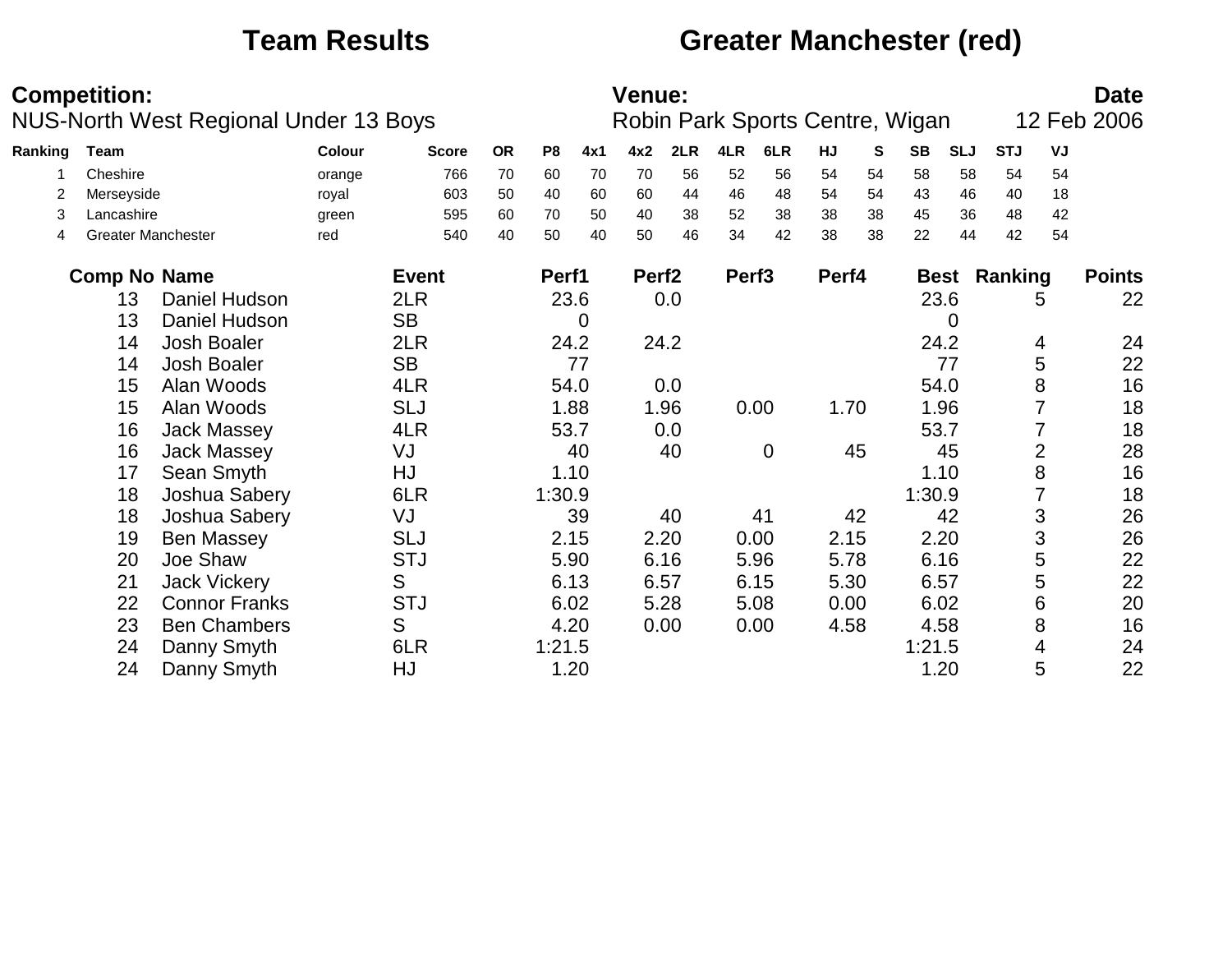## **Team Results Greater Manchester (red)**

|         | <b>Competition:</b>       | <b>NUS-North West Regional Under 13 Boys</b> |        |              |           |                |      | <b>Venue:</b>     |      |                   | Robin Park Sports Centre, Wigan |       |              |           |             |            |                | <b>Date</b><br>12 Feb 2006 |
|---------|---------------------------|----------------------------------------------|--------|--------------|-----------|----------------|------|-------------------|------|-------------------|---------------------------------|-------|--------------|-----------|-------------|------------|----------------|----------------------------|
| Ranking | <b>Team</b>               |                                              | Colour | <b>Score</b> | <b>OR</b> | P <sub>8</sub> | 4x1  | 4x2               | 2LR  | 4LR               | 6LR                             | HJ    | $\mathbf{s}$ | <b>SB</b> | <b>SLJ</b>  | <b>STJ</b> | VJ             |                            |
|         | Cheshire                  |                                              | orange | 766          | 70        | 60             | 70   | 70                | 56   | 52                | 56                              | 54    | 54           | 58        | 58          | 54         | 54             |                            |
| 2       | Merseyside                |                                              | royal  | 603          | 50        | 40             | 60   | 60                | 44   | 46                | 48                              | 54    | 54           | 43        | 46          | 40         | 18             |                            |
| 3       | Lancashire                |                                              | green  | 595          | 60        | 70             | 50   | 40                | 38   | 52                | 38                              | 38    | 38           | 45        | 36          | 48         | 42             |                            |
| 4       | <b>Greater Manchester</b> |                                              | red    | 540          | 40        | 50             | 40   | 50                | 46   | 34                | 42                              | 38    | 38           | 22        | 44          | 42         | 54             |                            |
|         | <b>Comp No Name</b>       |                                              |        | <b>Event</b> |           | Perf1          |      | Perf <sub>2</sub> |      | Perf <sub>3</sub> |                                 | Perf4 |              |           | <b>Best</b> | Ranking    |                | <b>Points</b>              |
|         | 13                        | Daniel Hudson                                |        | 2LR          |           | 23.6           |      |                   | 0.0  |                   |                                 |       |              |           | 23.6        |            | 5              | 22                         |
|         | 13                        | Daniel Hudson                                |        | <b>SB</b>    |           |                | 0    |                   |      |                   |                                 |       |              |           | 0           |            |                |                            |
|         | 14                        | <b>Josh Boaler</b>                           |        | 2LR          |           |                | 24.2 |                   | 24.2 |                   |                                 |       |              |           | 24.2        |            | 4              | 24                         |
|         | 14                        | Josh Boaler                                  |        | <b>SB</b>    |           |                | 77   |                   |      |                   |                                 |       |              |           | 77          |            | 5              | 22                         |
|         | 15                        | Alan Woods                                   |        | 4LR          |           |                | 54.0 |                   | 0.0  |                   |                                 |       |              |           | 54.0        |            | 8              | 16                         |
|         | 15                        | Alan Woods                                   |        | <b>SLJ</b>   |           |                | 1.88 |                   | 1.96 |                   | 0.00                            | 1.70  |              |           | 1.96        |            |                | 18                         |
|         | 16                        | Jack Massey                                  |        | 4LR          |           | 53.7           |      |                   | 0.0  |                   |                                 |       |              |           | 53.7        |            | 7              | 18                         |
|         | 16                        | <b>Jack Massey</b>                           |        | VJ           |           |                | 40   |                   | 40   |                   | $\overline{0}$                  |       | 45           |           | 45          |            | $\overline{2}$ | 28                         |
|         | 17                        | Sean Smyth                                   |        | HJ           |           |                | 1.10 |                   |      |                   |                                 |       |              |           | 1.10        |            | 8              | 16                         |
|         | 18                        | Joshua Sabery                                |        | 6LR          |           | 1:30.9         |      |                   |      |                   |                                 |       |              | 1:30.9    |             |            |                | 18                         |
|         | 18                        | Joshua Sabery                                |        | VJ           |           |                | 39   |                   | 40   |                   | 41                              |       | 42           |           | 42          |            | 3              | 26                         |
|         | 19                        | <b>Ben Massey</b>                            |        | <b>SLJ</b>   |           |                | 2.15 |                   | 2.20 |                   | 0.00                            | 2.15  |              |           | 2.20        |            | 3              | 26                         |
|         | 20                        | Joe Shaw                                     |        | <b>STJ</b>   |           | 5.90           |      |                   | 6.16 |                   | 5.96                            | 5.78  |              |           | 6.16        |            | 5              | 22                         |
|         | 21                        | <b>Jack Vickery</b>                          |        | S            |           | 6.13           |      | 6.57              |      |                   | 6.15                            | 5.30  |              | 6.57      |             |            | 5              | 22                         |
|         | 22                        | <b>Connor Franks</b>                         |        | <b>STJ</b>   |           |                | 6.02 |                   | 5.28 |                   | 5.08                            | 0.00  |              |           | 6.02        |            | 6              | 20                         |
|         | 23                        | <b>Ben Chambers</b>                          |        | S            |           |                | 4.20 |                   | 0.00 |                   | 0.00                            | 4.58  |              |           | 4.58        |            | 8              | 16                         |
|         | 24                        | Danny Smyth                                  |        | 6LR          |           | 1:21.5         |      |                   |      |                   |                                 |       |              | 1:21.5    |             |            | 4              | 24                         |
|         | 24                        | Danny Smyth                                  |        | HJ           |           |                | 1.20 |                   |      |                   |                                 |       |              |           | 1.20        |            | 5              | 22                         |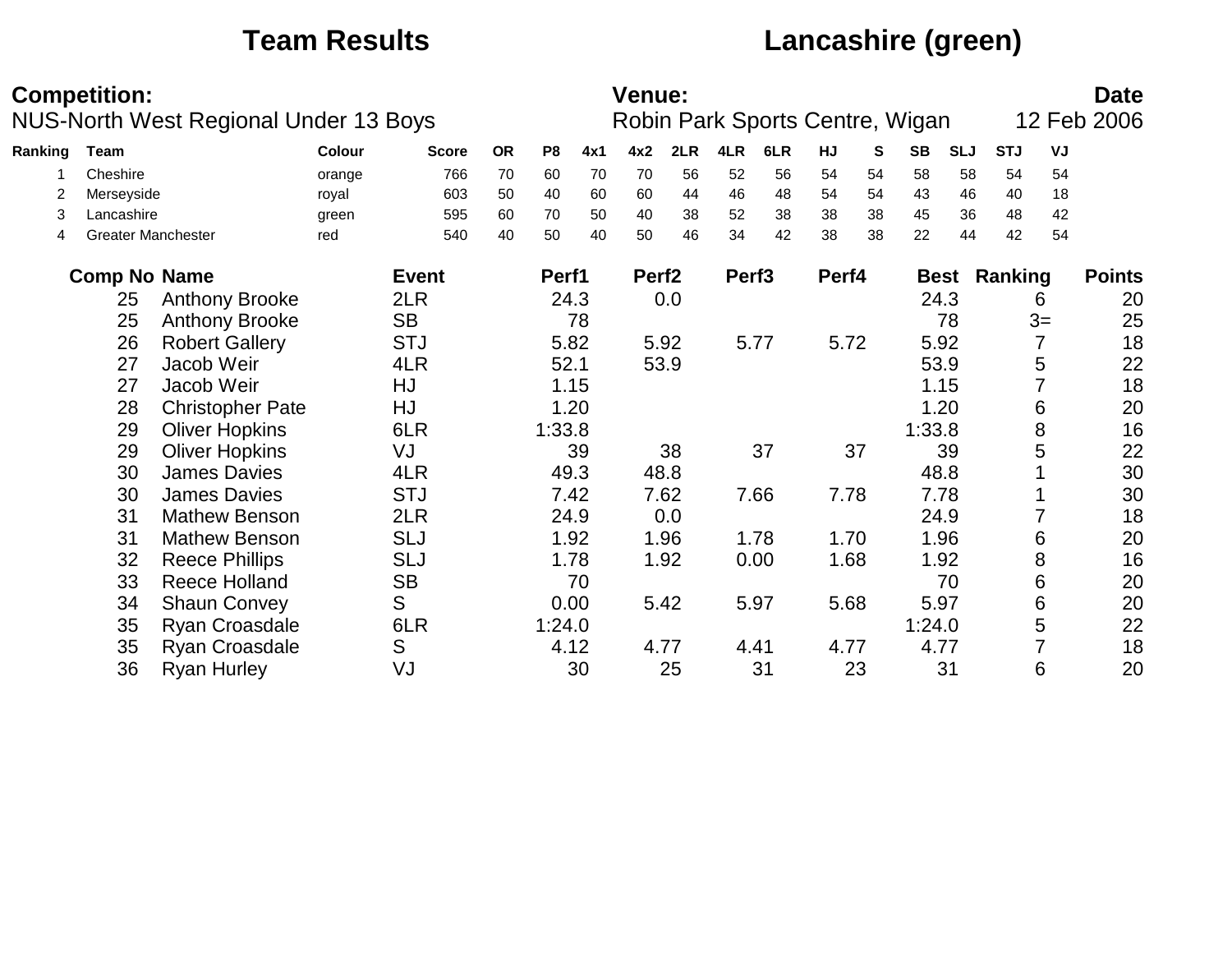## **Team Results Lancashire (green)**

|         | <b>Competition:</b> | <b>NUS-North West Regional Under 13 Boys</b> |              |              |           |                |          | <b>Venue:</b>     |          |                   |          |          |          | Robin Park Sports Centre, Wigan |             |            |                 | <b>Date</b><br>12 Feb 2006 |
|---------|---------------------|----------------------------------------------|--------------|--------------|-----------|----------------|----------|-------------------|----------|-------------------|----------|----------|----------|---------------------------------|-------------|------------|-----------------|----------------------------|
|         |                     |                                              |              |              |           |                |          |                   |          |                   |          |          |          |                                 |             |            |                 |                            |
| Ranking | <b>Team</b>         |                                              | Colour       | <b>Score</b> | <b>OR</b> | P <sub>8</sub> | 4x1      | 4x2               | 2LR      | 4LR               | 6LR      | HJ       | S        | <b>SB</b>                       | <b>SLJ</b>  | <b>STJ</b> | VJ              |                            |
|         | Cheshire            |                                              | orange       | 766          | 70        | 60             | 70       | 70                | 56       | 52                | 56       | 54       | 54       | 58                              | 58          | 54         | 54              |                            |
| 2       | Merseyside          |                                              | royal        | 603          | 50        | 40             | 60       | 60                | 44       | 46                | 48       | 54       | 54       | 43                              | 46          | 40         | 18              |                            |
| 3<br>4  | Lancashire          | <b>Greater Manchester</b>                    | green<br>red | 595<br>540   | 60<br>40  | 70<br>50       | 50<br>40 | 40<br>50          | 38<br>46 | 52<br>34          | 38<br>42 | 38<br>38 | 38<br>38 | 45<br>22                        | 36<br>44    | 48<br>42   | 42<br>54        |                            |
|         |                     |                                              |              |              |           |                |          |                   |          |                   |          |          |          |                                 |             |            |                 |                            |
|         | <b>Comp No Name</b> |                                              |              | <b>Event</b> |           | Perf1          |          | Perf <sub>2</sub> |          | Perf <sub>3</sub> |          | Perf4    |          |                                 | <b>Best</b> | Ranking    |                 | <b>Points</b>              |
|         | 25                  | <b>Anthony Brooke</b>                        |              | 2LR          |           |                | 24.3     |                   | 0.0      |                   |          |          |          |                                 | 24.3        |            | 6               | 20                         |
|         | 25                  | <b>Anthony Brooke</b>                        |              | <b>SB</b>    |           |                | 78       |                   |          |                   |          |          |          |                                 | 78          |            | $3=$            | 25                         |
|         | 26                  | <b>Robert Gallery</b>                        |              | <b>STJ</b>   |           | 5.82           |          | 5.92              |          |                   | 5.77     | 5.72     |          |                                 | 5.92        |            | $\overline{7}$  | 18                         |
|         | 27                  | Jacob Weir                                   |              | 4LR          |           | 52.1           |          |                   | 53.9     |                   |          |          |          |                                 | 53.9        |            | 5               | 22                         |
|         | 27                  | Jacob Weir                                   |              | HJ           |           |                | 1.15     |                   |          |                   |          |          |          |                                 | 1.15        |            |                 | 18                         |
|         | 28                  | <b>Christopher Pate</b>                      |              | HJ           |           |                | 1.20     |                   |          |                   |          |          |          |                                 | 1.20        |            | 6               | 20                         |
|         | 29                  | <b>Oliver Hopkins</b>                        |              | 6LR          |           | 1:33.8         |          |                   |          |                   |          |          |          | 1:33.8                          |             |            | 8               | 16                         |
|         | 29                  | <b>Oliver Hopkins</b>                        |              | VJ           |           |                | 39       |                   | 38       |                   | 37       |          | 37       |                                 | 39          |            | 5               | 22                         |
|         | 30                  | <b>James Davies</b>                          |              | 4LR          |           | 49.3           |          |                   | 48.8     |                   |          |          |          | 48.8                            |             |            |                 | 30                         |
|         | 30                  | <b>James Davies</b>                          |              | <b>STJ</b>   |           |                | 7.42     |                   | 7.62     |                   | 7.66     | 7.78     |          |                                 | 7.78        |            |                 | 30                         |
|         | 31                  | <b>Mathew Benson</b>                         |              | 2LR          |           |                | 24.9     |                   | 0.0      |                   |          |          |          | 24.9                            |             |            |                 | 18                         |
|         | 31                  | <b>Mathew Benson</b>                         |              | <b>SLJ</b>   |           |                | 1.92     |                   | 1.96     |                   | 1.78     | 1.70     |          |                                 | 1.96        |            | 6               | 20                         |
|         | 32                  | <b>Reece Phillips</b>                        |              | <b>SLJ</b>   |           |                | 1.78     |                   | 1.92     |                   | 0.00     | 1.68     |          |                                 | 1.92        |            | 8               | 16                         |
|         | 33                  | <b>Reece Holland</b>                         |              | <b>SB</b>    |           |                | 70       |                   |          |                   |          |          |          |                                 | 70          |            | $6\phantom{1}6$ | 20                         |
|         | 34                  | <b>Shaun Convey</b>                          |              | S            |           | 0.00           |          | 5.42              |          | 5.97              |          | 5.68     |          | 5.97                            |             |            | 6               | 20                         |
|         | 35                  | Ryan Croasdale                               |              | 6LR          |           | 1:24.0         |          |                   |          |                   |          |          |          | 1:24.0                          |             |            | 5               | 22                         |
|         | 35                  | Ryan Croasdale                               |              | S            |           |                | 4.12     | 4.77              |          | 4.41              |          | 4.77     |          | 4.77                            |             |            |                 | 18                         |
|         | 36                  | Ryan Hurley                                  |              | VJ           |           |                | 30       |                   | 25       |                   | 31       |          | 23       |                                 | 31          |            | 6               | 20                         |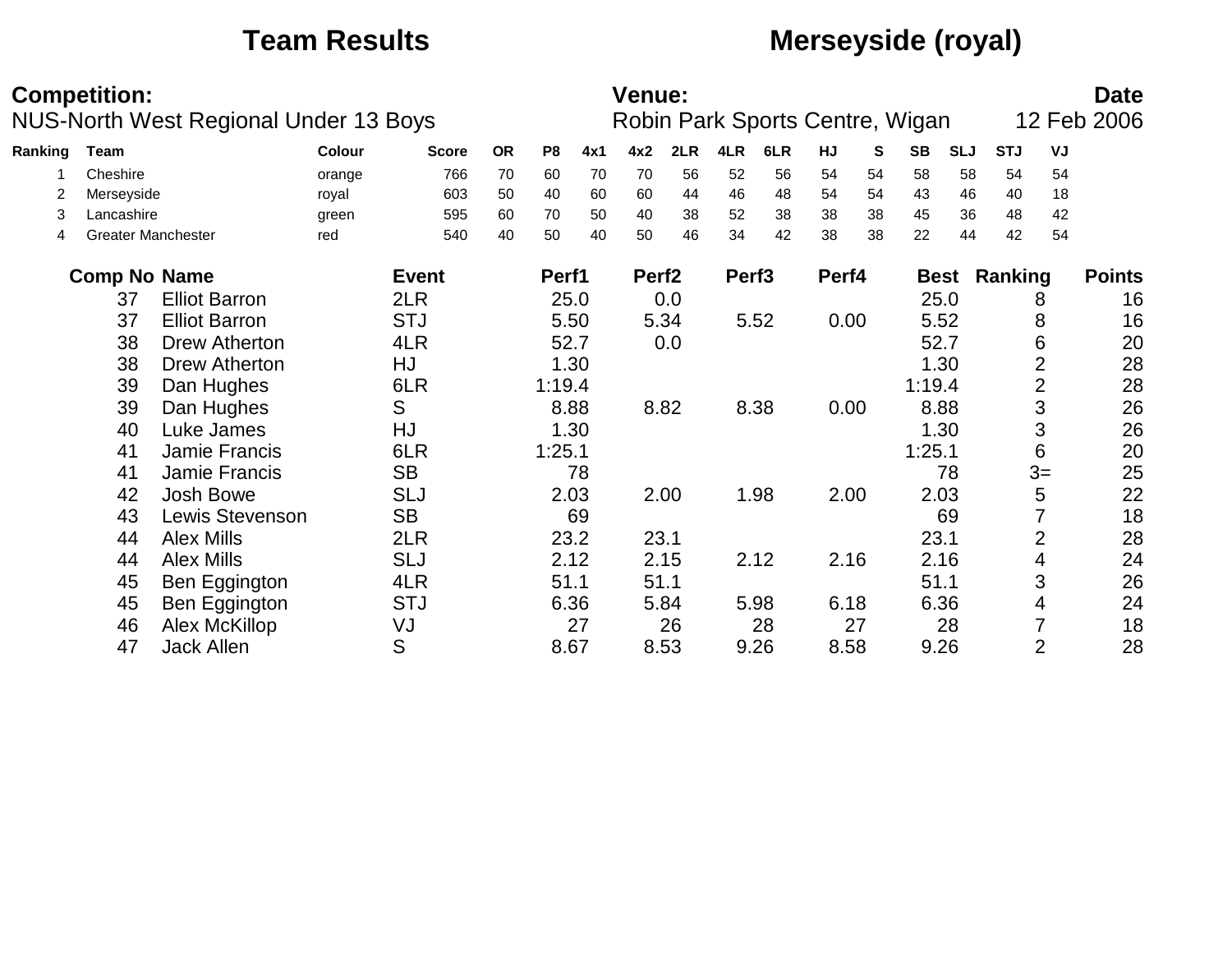## **Team Results Merseyside (royal)**

|         | <b>Competition:</b>       |                                              |        |              |           |                |      | <b>Venue:</b>     |      |                   |                                 |       |      |           |            |            |                | <b>Date</b>   |
|---------|---------------------------|----------------------------------------------|--------|--------------|-----------|----------------|------|-------------------|------|-------------------|---------------------------------|-------|------|-----------|------------|------------|----------------|---------------|
|         |                           | <b>NUS-North West Regional Under 13 Boys</b> |        |              |           |                |      |                   |      |                   | Robin Park Sports Centre, Wigan |       |      |           |            |            |                | 12 Feb 2006   |
| Ranking | <b>Team</b>               |                                              | Colour | <b>Score</b> | <b>OR</b> | P <sub>8</sub> | 4x1  | 4x2               | 2LR  | 4LR               | 6LR                             | HJ    | S    | <b>SB</b> | <b>SLJ</b> | <b>STJ</b> | VJ             |               |
|         | Cheshire                  |                                              | orange | 766          | 70        | 60             | 70   | 70                | 56   | 52                | 56                              | 54    | 54   | 58        | 58         | 54         | 54             |               |
|         | Merseyside                |                                              | royal  | 603          | 50        | 40             | 60   | 60                | 44   | 46                | 48                              | 54    | 54   | 43        | 46         | 40         | 18             |               |
| 3       | Lancashire                |                                              | green  | 595          | 60        | 70             | 50   | 40                | 38   | 52                | 38                              | 38    | 38   | 45        | 36         | 48         | 42             |               |
| 4       | <b>Greater Manchester</b> |                                              | red    | 540          | 40        | 50             | 40   | 50                | 46   | 34                | 42                              | 38    | 38   | 22        | 44         | 42         | 54             |               |
|         | <b>Comp No Name</b>       |                                              |        | <b>Event</b> |           | Perf1          |      | Perf <sub>2</sub> |      | Perf <sub>3</sub> |                                 | Perf4 |      |           | Best       | Ranking    |                | <b>Points</b> |
|         | 37                        | <b>Elliot Barron</b>                         |        | 2LR          |           |                | 25.0 |                   | 0.0  |                   |                                 |       |      |           | 25.0       |            | 8              | 16            |
|         | 37                        | <b>Elliot Barron</b>                         |        | <b>STJ</b>   |           |                | 5.50 |                   | 5.34 |                   | 5.52                            | 0.00  |      |           | 5.52       |            | 8              | 16            |
|         | 38                        | Drew Atherton                                |        | 4LR          |           |                | 52.7 |                   | 0.0  |                   |                                 |       |      | 52.7      |            |            | 6              | 20            |
|         | 38                        | Drew Atherton                                |        | HJ           |           |                | 1.30 |                   |      |                   |                                 |       | 1.30 |           |            |            | 2              | 28            |
|         | 39                        | Dan Hughes                                   |        | 6LR          |           | 1:19.4         |      |                   |      |                   |                                 |       |      | 1:19.4    |            |            | $\overline{2}$ | 28            |
|         | 39                        | Dan Hughes                                   |        | S            |           |                | 8.88 |                   | 8.82 |                   | 8.38                            | 0.00  |      |           | 8.88       |            | 3              | 26            |
|         | 40                        | Luke James                                   |        | HJ           |           |                | 1.30 |                   |      |                   |                                 |       |      |           | 1.30       |            | 3              | 26            |
|         | 41                        | <b>Jamie Francis</b>                         |        | 6LR          |           | 1:25.1         |      |                   |      |                   |                                 |       |      | 1:25.1    |            |            | 6              | 20            |
|         | 41                        | Jamie Francis                                |        | <b>SB</b>    |           |                | 78   |                   |      |                   |                                 |       |      |           | 78         |            | $3=$           | 25            |
|         | 42                        | <b>Josh Bowe</b>                             |        | <b>SLJ</b>   |           |                | 2.03 |                   | 2.00 |                   | 1.98                            | 2.00  |      |           | 2.03       |            | 5              | 22            |
|         | 43                        | Lewis Stevenson                              |        | <b>SB</b>    |           |                | 69   |                   |      |                   |                                 |       |      |           | 69         |            |                | 18            |
|         | 44                        | <b>Alex Mills</b>                            |        | 2LR          |           |                | 23.2 | 23.1              |      |                   |                                 |       |      | 23.1      |            |            | $\overline{2}$ | 28            |
|         | 44                        | <b>Alex Mills</b>                            |        | <b>SLJ</b>   |           |                | 2.12 |                   | 2.15 |                   | 2.12                            | 2.16  |      |           | 2.16       |            | 4              | 24            |
|         | 45                        | Ben Eggington                                |        | 4LR          |           | 51.1           |      | 51.1              |      |                   |                                 |       |      | 51.1      |            |            | 3              | 26            |
|         | 45                        | Ben Eggington                                |        | <b>STJ</b>   |           |                | 6.36 |                   | 5.84 |                   | 5.98                            | 6.18  |      |           | 6.36       |            | 4              | 24            |
|         | 46                        | Alex McKillop                                |        | VJ           |           |                | 27   |                   | 26   |                   | 28                              |       | 27   |           | 28         |            |                | 18            |
|         | 47                        | <b>Jack Allen</b>                            |        | S            |           |                | 8.67 |                   | 8.53 |                   | 9.26                            | 8.58  |      |           | 9.26       |            | $\overline{2}$ | 28            |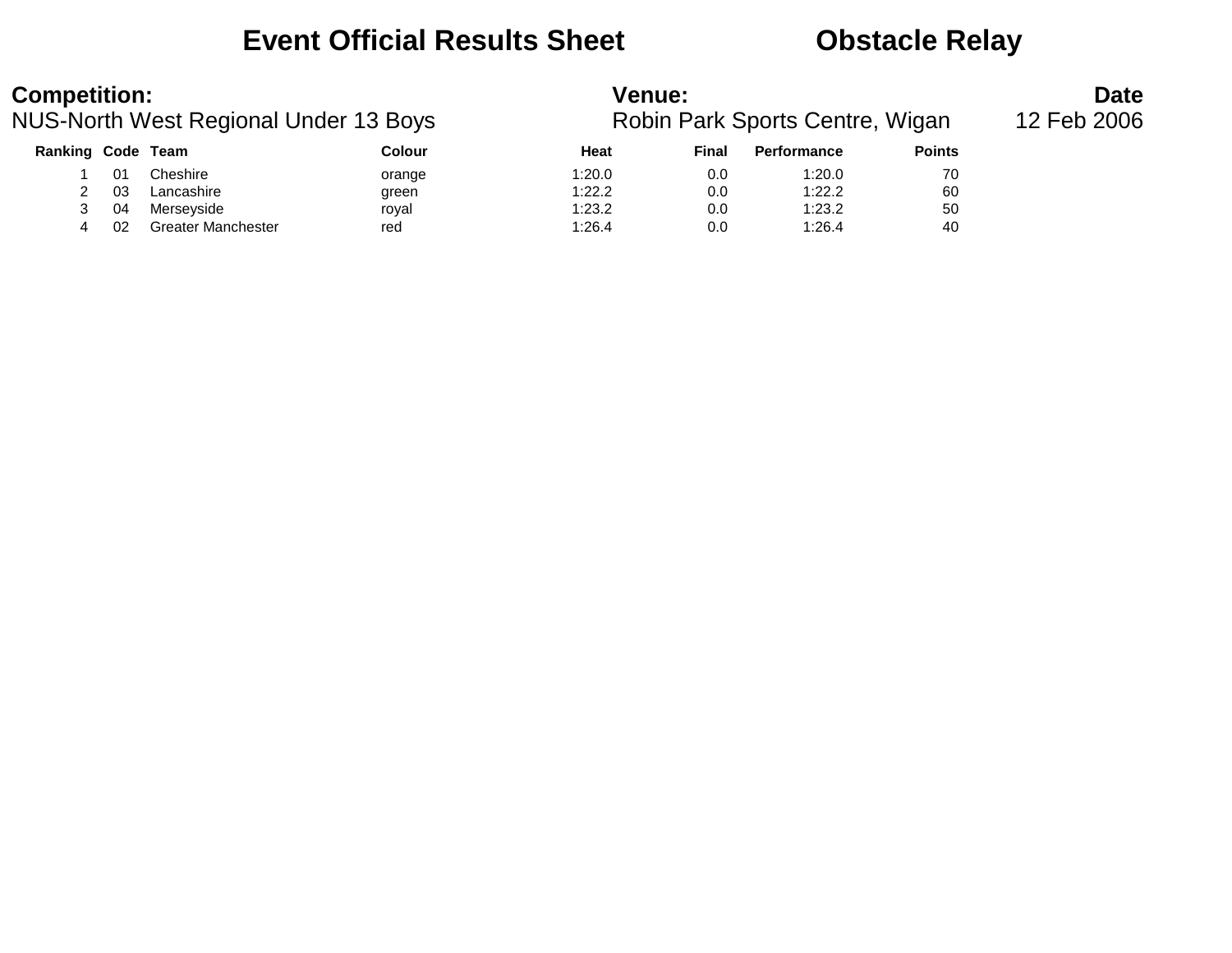### **Event Official Results Sheet Constracts Obstacle Relay**

| <b>Competition:</b> |    |                                       |        | <b>Venue:</b> |       | <b>Date</b>                     |               |             |
|---------------------|----|---------------------------------------|--------|---------------|-------|---------------------------------|---------------|-------------|
|                     |    | NUS-North West Regional Under 13 Boys |        |               |       | Robin Park Sports Centre, Wigan |               | 12 Feb 2006 |
| Ranking Code Team   |    |                                       | Colour | Heat          | Final | Performance                     | <b>Points</b> |             |
|                     | 01 | Cheshire                              | orange | 1:20.0        | 0.0   | 1:20.0                          | 70            |             |
|                     | 03 | Lancashire                            | green  | 1:22.2        | 0.0   | 1:22.2                          | 60            |             |
|                     | 04 | Merseyside                            | roval  | 1:23.2        | 0.0   | 1:23.2                          | 50            |             |
|                     | 02 | <b>Greater Manchester</b>             | red    | 1:26.4        | 0.0   | 1:26.4                          | 40            |             |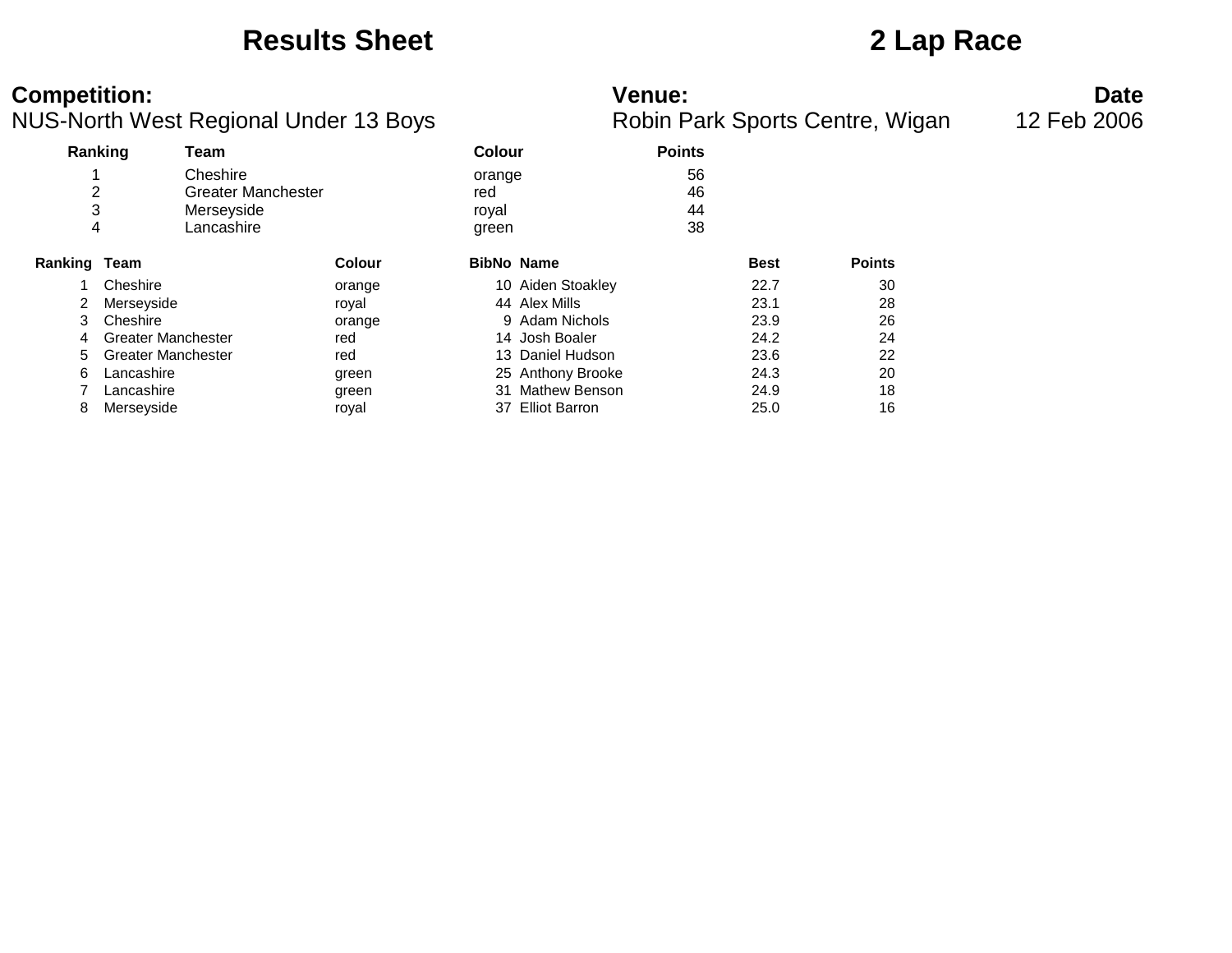### **Results Sheet 2 Lap Race**

### **Competition: Venue: Date**

|  | Robin Park Sports Centre, Wigar |  |
|--|---------------------------------|--|
|  |                                 |  |

|         | Ranking                   | Team                      |               | <b>Colour</b>     |                      | <b>Points</b> |             |               |
|---------|---------------------------|---------------------------|---------------|-------------------|----------------------|---------------|-------------|---------------|
|         |                           | Cheshire                  |               | orange            |                      | 56            |             |               |
| 2       |                           | <b>Greater Manchester</b> |               | red               |                      | 46            |             |               |
| 3       |                           | Merseyside                |               | royal             |                      | 44            |             |               |
| 4       |                           | Lancashire                |               | green             |                      | 38            |             |               |
| Ranking | Team                      |                           | <b>Colour</b> | <b>BibNo Name</b> |                      |               | <b>Best</b> | <b>Points</b> |
|         | Cheshire                  |                           | orange        |                   | 10 Aiden Stoakley    |               | 22.7        | 30            |
| 2       | Merseyside                |                           | royal         |                   | 44 Alex Mills        |               | 23.1        | 28            |
| 3       | Cheshire                  |                           | orange        |                   | 9 Adam Nichols       |               | 23.9        | 26            |
| 4       | <b>Greater Manchester</b> |                           | red           |                   | 14 Josh Boaler       |               | 24.2        | 24            |
| 5       | <b>Greater Manchester</b> |                           | red           |                   | 13 Daniel Hudson     |               | 23.6        | 22            |
| 6       | Lancashire                |                           | green         |                   | 25 Anthony Brooke    |               | 24.3        | 20            |
|         | Lancashire                |                           | green         | 31                | <b>Mathew Benson</b> |               | 24.9        | 18            |
| 8       | Merseyside                |                           | roval         |                   | 37 Elliot Barron     |               | 25.0        | 16            |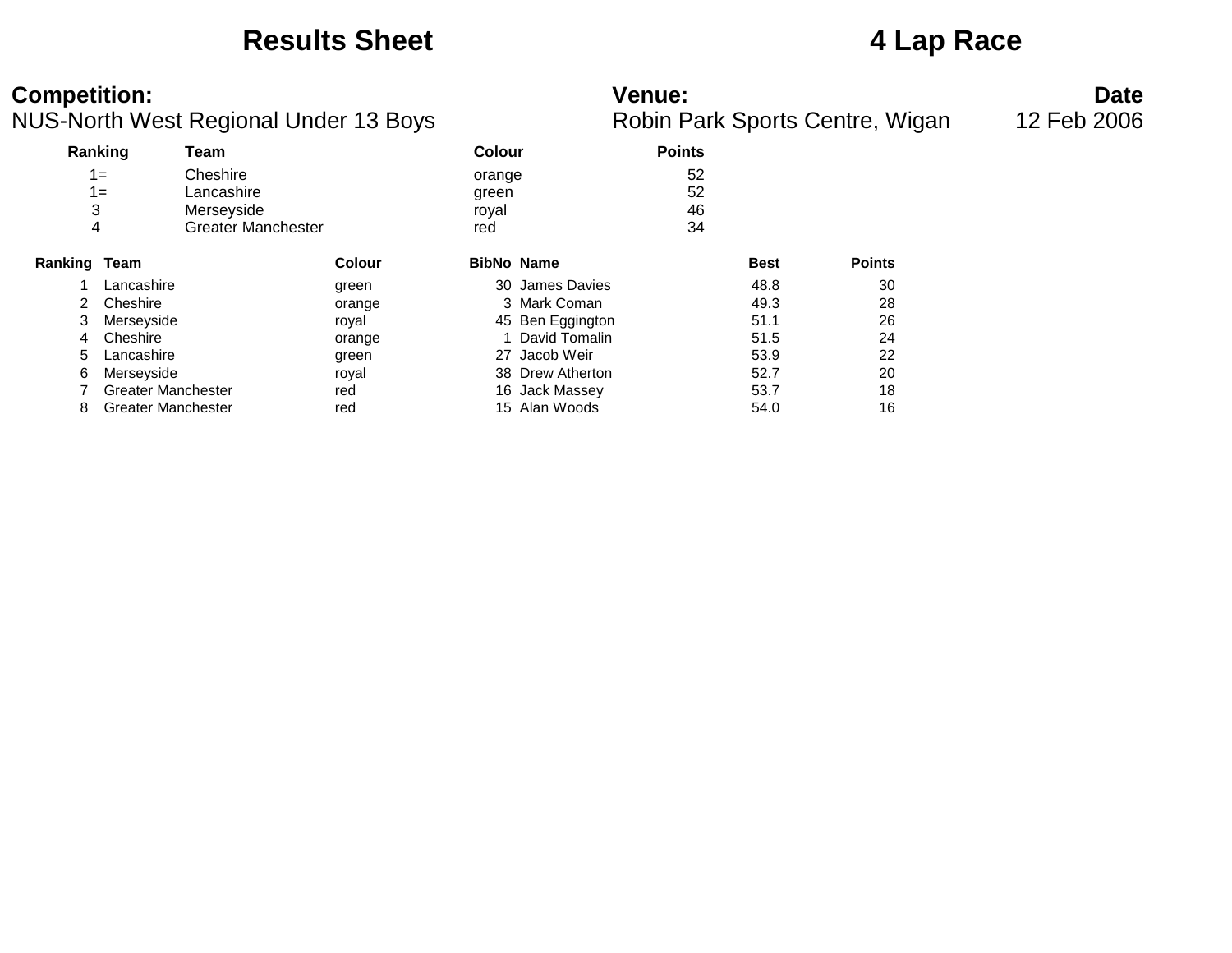### **Results Sheet 4 Lap Race**

### **Competition: Venue: Date**

|  | Robin Park Sports Centre, Wigar |  |
|--|---------------------------------|--|
|  |                                 |  |

|              | Ranking                   | Team                      |               | <b>Colour</b> |                   | <b>Points</b> |             |               |
|--------------|---------------------------|---------------------------|---------------|---------------|-------------------|---------------|-------------|---------------|
|              | $1 =$                     | Cheshire                  |               | orange        |                   | 52            |             |               |
|              | $1 =$                     | Lancashire                |               | green         |                   | 52            |             |               |
| 3            |                           | Merseyside                |               | royal         |                   | 46            |             |               |
|              | 4                         | <b>Greater Manchester</b> |               | red           |                   | 34            |             |               |
| Ranking Team |                           |                           | <b>Colour</b> |               | <b>BibNo Name</b> |               | <b>Best</b> | <b>Points</b> |
|              | Lancashire                |                           | green         |               | 30 James Davies   |               | 48.8        | 30            |
| 2.           | Cheshire                  |                           | orange        |               | 3 Mark Coman      |               | 49.3        | 28            |
| 3            | Merseyside                |                           | royal         |               | 45 Ben Eggington  |               | 51.1        | 26            |
| 4            | Cheshire                  |                           | orange        |               | 1 David Tomalin   |               | 51.5        | 24            |
| 5            | Lancashire                |                           | green         |               | 27 Jacob Weir     |               | 53.9        | 22            |
| 6            | Merseyside                |                           | royal         |               | 38 Drew Atherton  |               | 52.7        | 20            |
|              | <b>Greater Manchester</b> |                           | red           |               | 16 Jack Massey    |               | 53.7        | 18            |
| 8            | <b>Greater Manchester</b> |                           | red           |               | 15 Alan Woods     |               | 54.0        | 16            |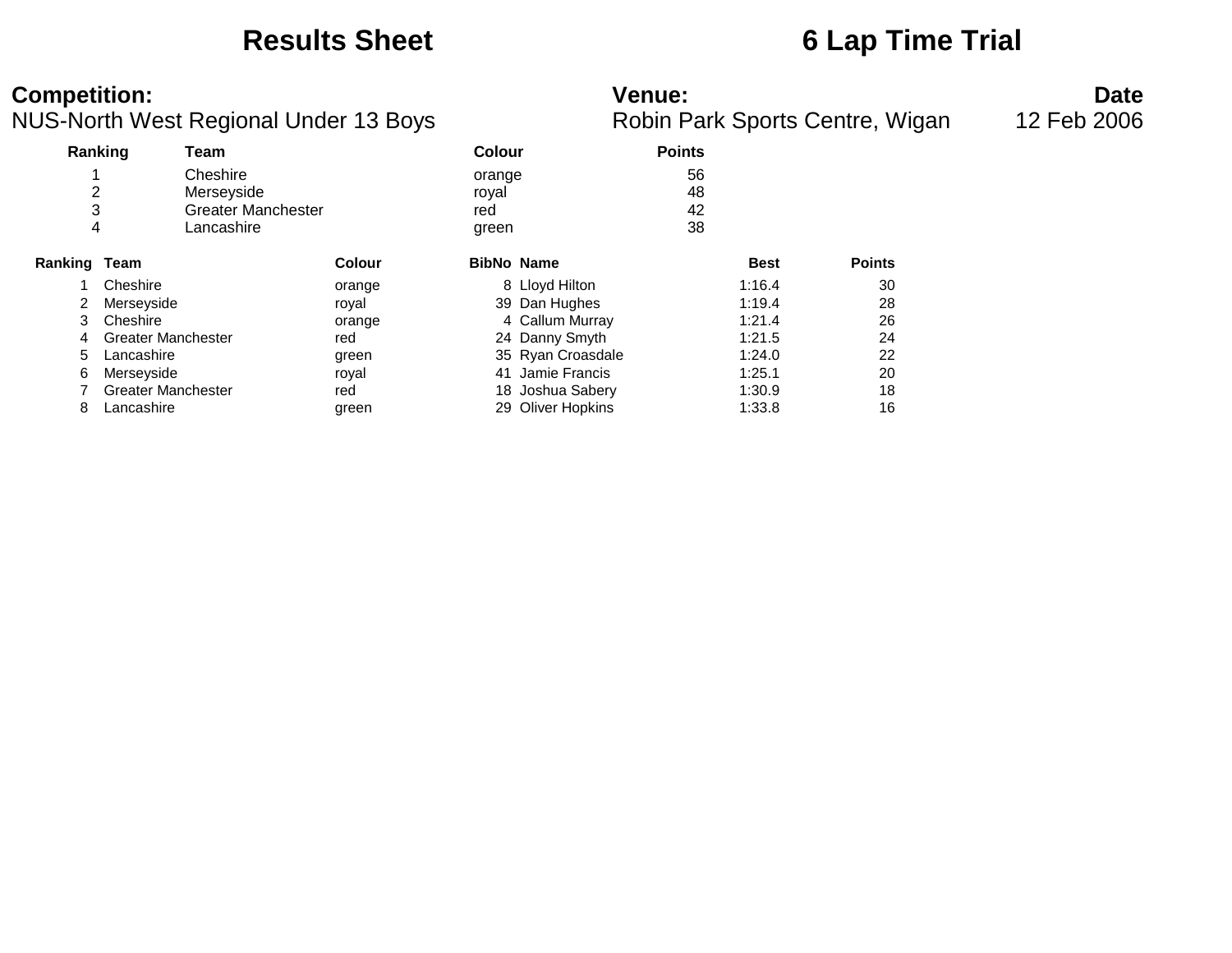### **Results Sheet 6 Lap Time Trial**

### **Competition: Venue: Date**

|  | Robin Park Sports Centre, Wigar |  |
|--|---------------------------------|--|
|  |                                 |  |

|              | Ranking<br>Team           |                           |               | Colour |                   | <b>Points</b> |             |               |
|--------------|---------------------------|---------------------------|---------------|--------|-------------------|---------------|-------------|---------------|
|              |                           | Cheshire                  |               | orange |                   | 56            |             |               |
| 2            |                           | Merseyside                |               | royal  |                   | 48            |             |               |
| 3            |                           | <b>Greater Manchester</b> |               | red    |                   | 42            |             |               |
|              | 4                         | Lancashire                |               | green  |                   | 38            |             |               |
| Ranking Team |                           |                           | <b>Colour</b> |        | <b>BibNo Name</b> |               | <b>Best</b> | <b>Points</b> |
|              | Cheshire                  |                           | orange        |        | 8 Lloyd Hilton    |               | 1:16.4      | 30            |
| 2            | Merseyside                |                           | royal         |        | 39 Dan Hughes     |               | 1:19.4      | 28            |
| 3            | Cheshire                  |                           | orange        |        | 4 Callum Murray   |               | 1:21.4      | 26            |
| 4            | <b>Greater Manchester</b> |                           | red           |        | 24 Danny Smyth    |               | 1:21.5      | 24            |
| 5            | Lancashire                |                           | green         |        | 35 Ryan Croasdale |               | 1:24.0      | 22            |
| 6            | Merseyside                |                           | royal         |        | 41 Jamie Francis  |               | 1:25.1      | 20            |
|              | <b>Greater Manchester</b> |                           | red           |        | 18 Joshua Sabery  |               | 1:30.9      | 18            |
| 8            | Lancashire                |                           | green         |        | 29 Oliver Hopkins |               | 1:33.8      | 16            |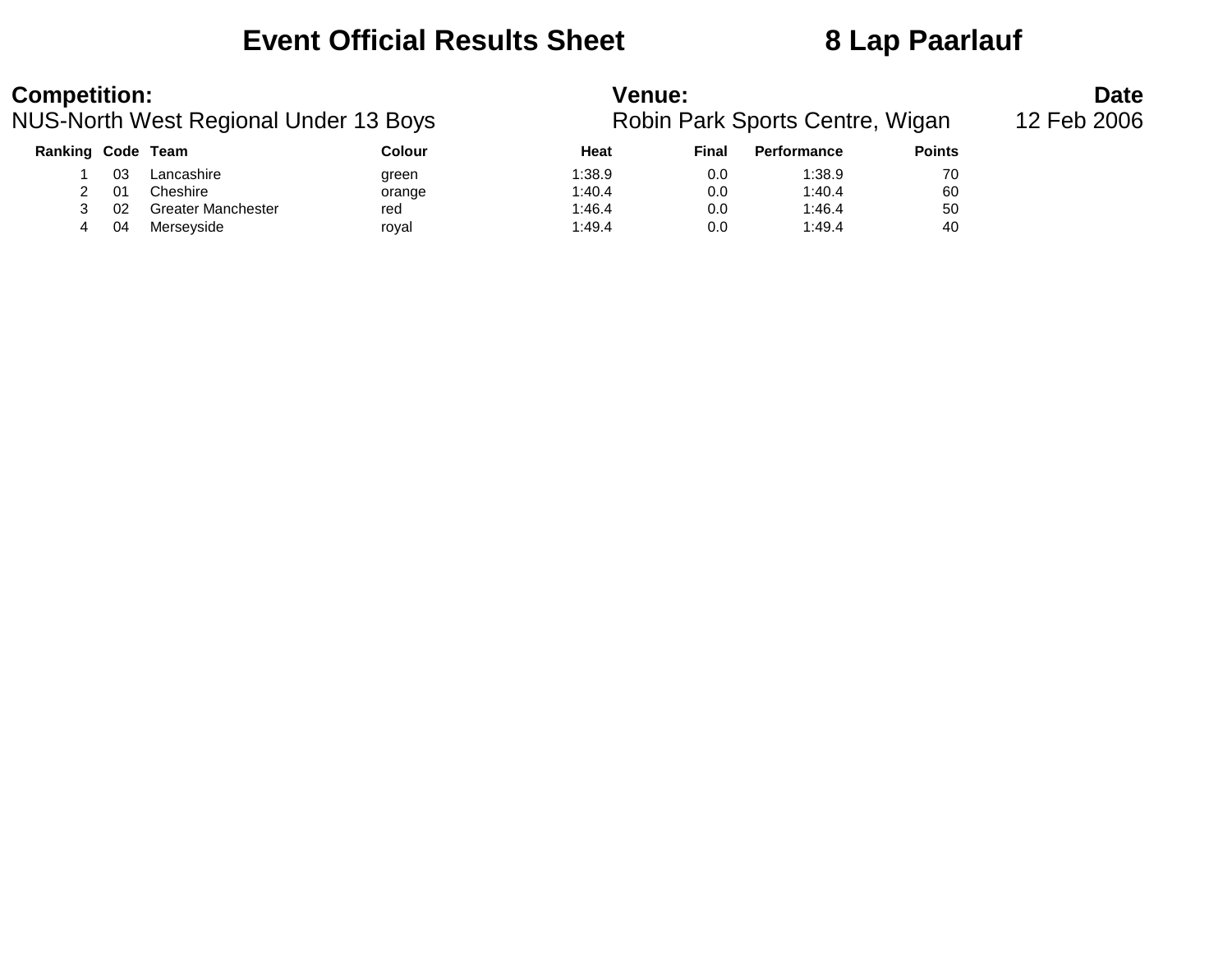### **Event Official Results Sheet 8 Lap Paarlauf**

| <b>Competition:</b> |    |                                       |        | Venue:                          |             | <b>Date</b>        |               |  |
|---------------------|----|---------------------------------------|--------|---------------------------------|-------------|--------------------|---------------|--|
|                     |    | NUS-North West Regional Under 13 Boys |        | Robin Park Sports Centre, Wigan | 12 Feb 2006 |                    |               |  |
| Ranking Code Team   |    |                                       | Colour | Heat                            | Final       | <b>Performance</b> | <b>Points</b> |  |
|                     | 03 | Lancashire                            | green  | 1:38.9                          | 0.0         | 1:38.9             | 70            |  |
|                     | 01 | Cheshire                              | orange | 1:40.4                          | 0.0         | 1:40.4             | 60            |  |
|                     | 02 | Greater Manchester                    | red    | 1:46.4                          | 0.0         | 1:46.4             | 50            |  |
| 4                   | 04 | Merseyside                            | royal  | 1:49.4                          | 0.0         | 1:49.4             | 40            |  |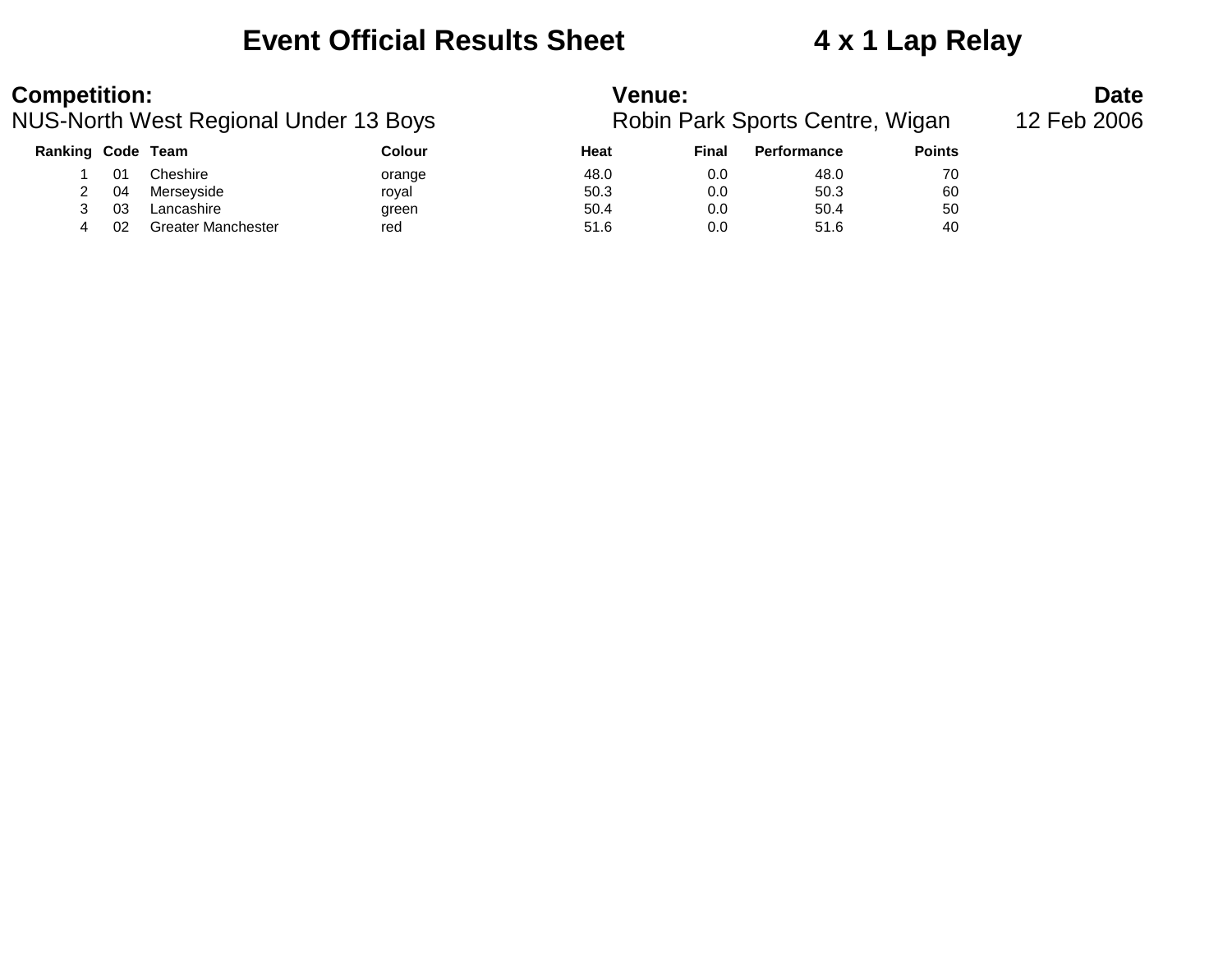### **Event Official Results Sheet 4 x 1 Lap Relay**

| <b>Competition:</b>                          |    |                           |        | <b>Venue:</b>                   | <b>Date</b><br>12 Feb 2006 |                    |               |  |
|----------------------------------------------|----|---------------------------|--------|---------------------------------|----------------------------|--------------------|---------------|--|
| <b>NUS-North West Regional Under 13 Boys</b> |    |                           |        | Robin Park Sports Centre, Wigan |                            |                    |               |  |
| Ranking Code Team                            |    |                           | Colour | Heat                            | Final                      | <b>Performance</b> | <b>Points</b> |  |
|                                              | 01 | Cheshire                  | orange | 48.0                            | 0.0                        | 48.0               | 70            |  |
|                                              | 04 | Merseyside                | royal  | 50.3                            | 0.0                        | 50.3               | 60            |  |
| 3                                            | 03 | Lancashire                | green  | 50.4                            | 0.0                        | 50.4               | 50            |  |
|                                              | 02 | <b>Greater Manchester</b> | red    | 51.6                            | 0.0                        | 51.6               | 40            |  |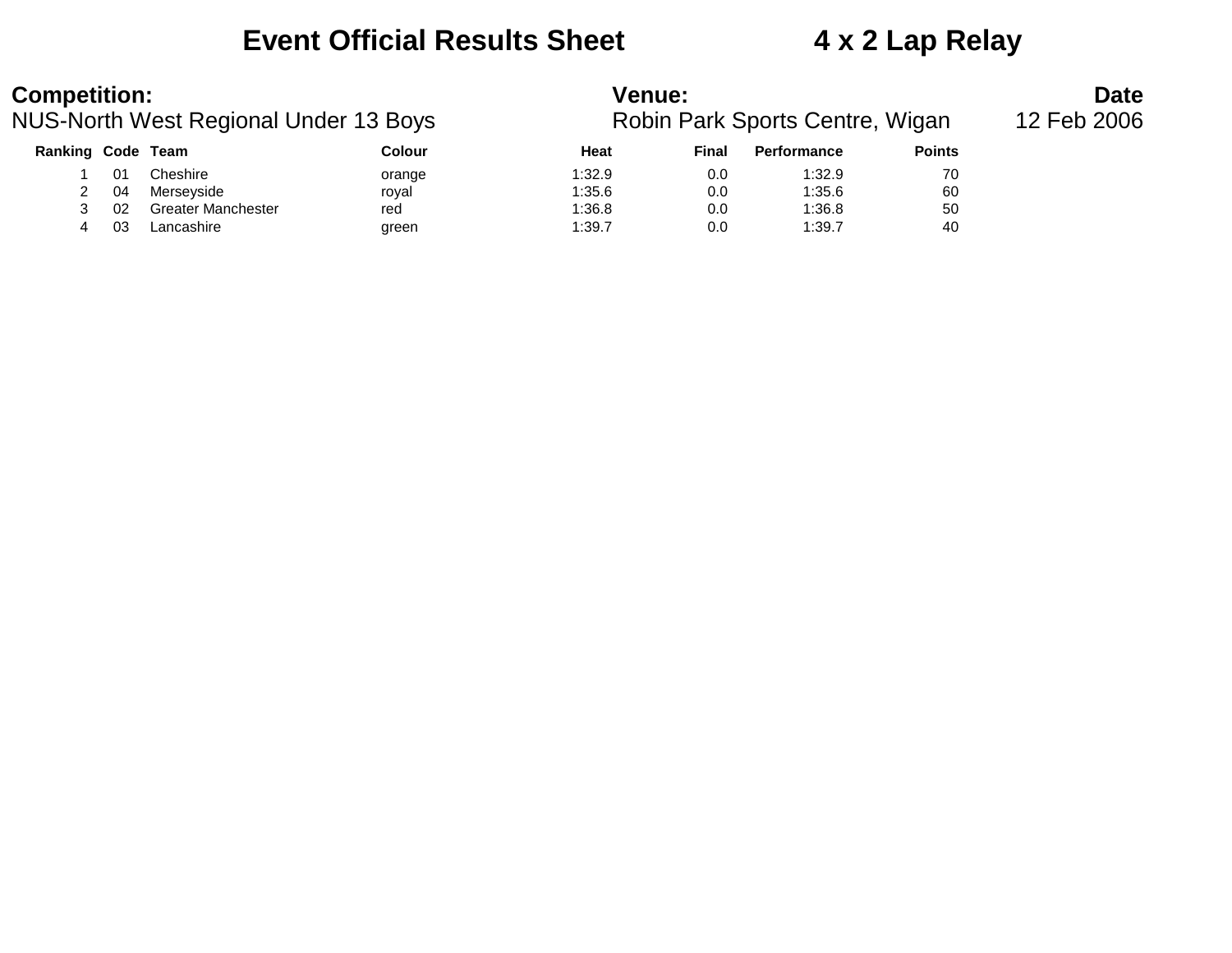### **Event Official Results Sheet 4 x 2 Lap Relay**

| <b>Competition:</b>      |    |                                       |        | <b>Venue:</b>                   |             | <b>Date</b>        |               |  |
|--------------------------|----|---------------------------------------|--------|---------------------------------|-------------|--------------------|---------------|--|
|                          |    | NUS-North West Regional Under 13 Boys |        | Robin Park Sports Centre, Wigan | 12 Feb 2006 |                    |               |  |
| <b>Ranking Code Team</b> |    |                                       | Colour | Heat                            | Final       | <b>Performance</b> | <b>Points</b> |  |
|                          |    | Cheshire                              | orange | 1:32.9                          | 0.0         | 1:32.9             | 70            |  |
|                          | 04 | Merseyside                            | roval  | 1:35.6                          | 0.0         | 1:35.6             | 60            |  |
|                          | 02 | <b>Greater Manchester</b>             | red    | 1:36.8                          | 0.0         | 1:36.8             | 50            |  |
| 4                        | 03 | Lancashire                            | green  | 1:39.7                          | 0.0         | 1:39.7             | 40            |  |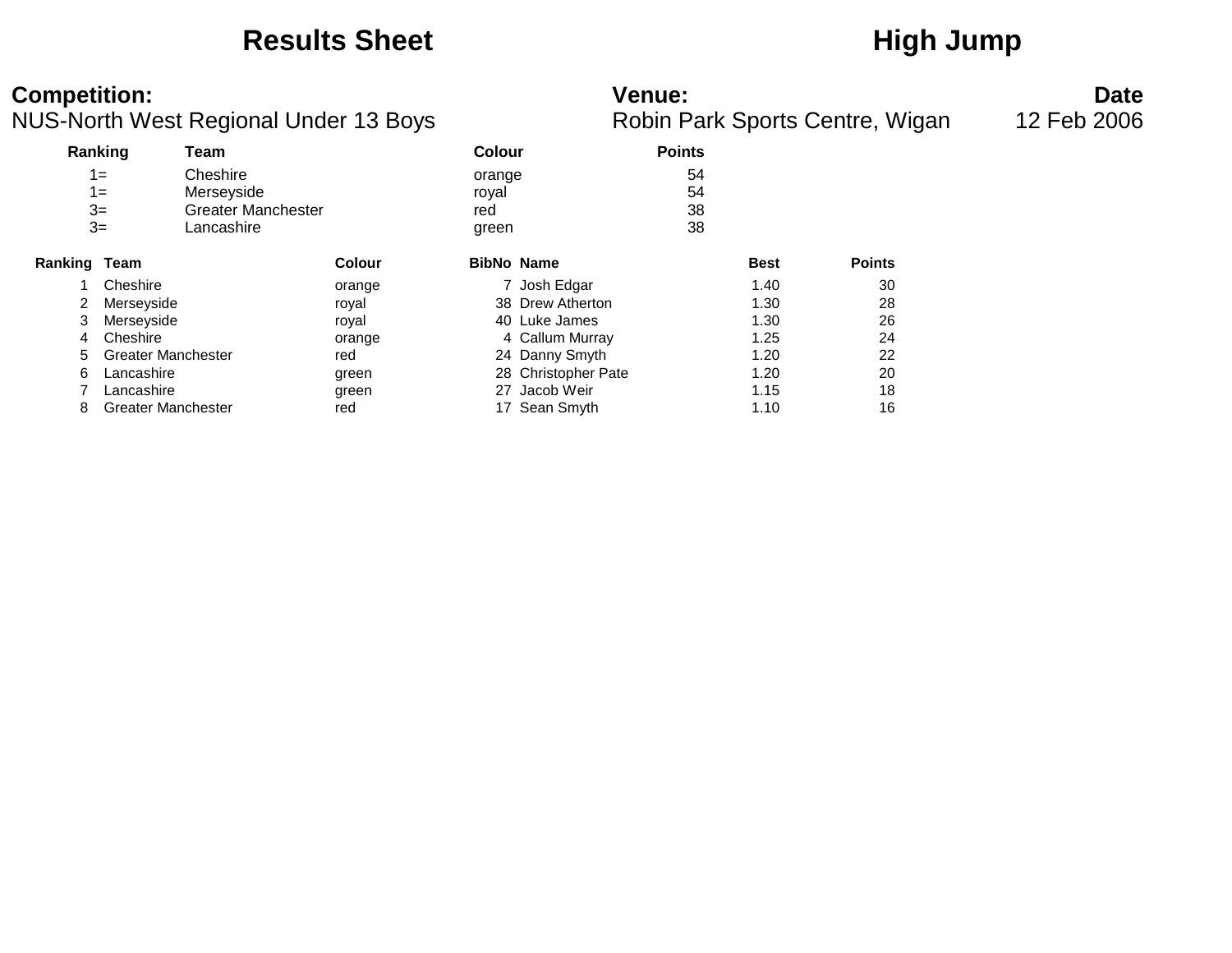### Results Sheet **High Jump**

### **Competition: Venue: Date**

|  | Robin Park Sports Centre, Wigar |  |
|--|---------------------------------|--|
|  |                                 |  |

| Ranking      |                           | Team                      |               |                   | <b>Colour</b>       |    |             |               |
|--------------|---------------------------|---------------------------|---------------|-------------------|---------------------|----|-------------|---------------|
|              | $1 =$                     | Cheshire                  |               | orange            |                     | 54 |             |               |
|              | $1 =$                     | Merseyside                |               | royal             |                     | 54 |             |               |
|              | $3=$                      | <b>Greater Manchester</b> |               | red               |                     | 38 |             |               |
|              | $3=$                      | Lancashire                |               | green             |                     | 38 |             |               |
| Ranking Team |                           |                           | <b>Colour</b> | <b>BibNo Name</b> |                     |    | <b>Best</b> | <b>Points</b> |
|              | Cheshire                  |                           | orange        |                   | 7 Josh Edgar        |    | 1.40        | 30            |
|              | Merseyside                |                           | royal         |                   | 38 Drew Atherton    |    | 1.30        | 28            |
| 3            | Merseyside                |                           | royal         |                   | 40 Luke James       |    | 1.30        | 26            |
| 4            | Cheshire                  |                           | orange        |                   | 4 Callum Murray     |    | 1.25        | 24            |
| 5            | <b>Greater Manchester</b> |                           | red           |                   | 24 Danny Smyth      |    | 1.20        | 22            |
| 6            | Lancashire                |                           | green         |                   | 28 Christopher Pate |    | 1.20        | 20            |
|              | Lancashire                |                           | green         | 27                | Jacob Weir          |    | 1.15        | 18            |
| 8            | <b>Greater Manchester</b> |                           | red           |                   | 17 Sean Smyth       |    | 1.10        | 16            |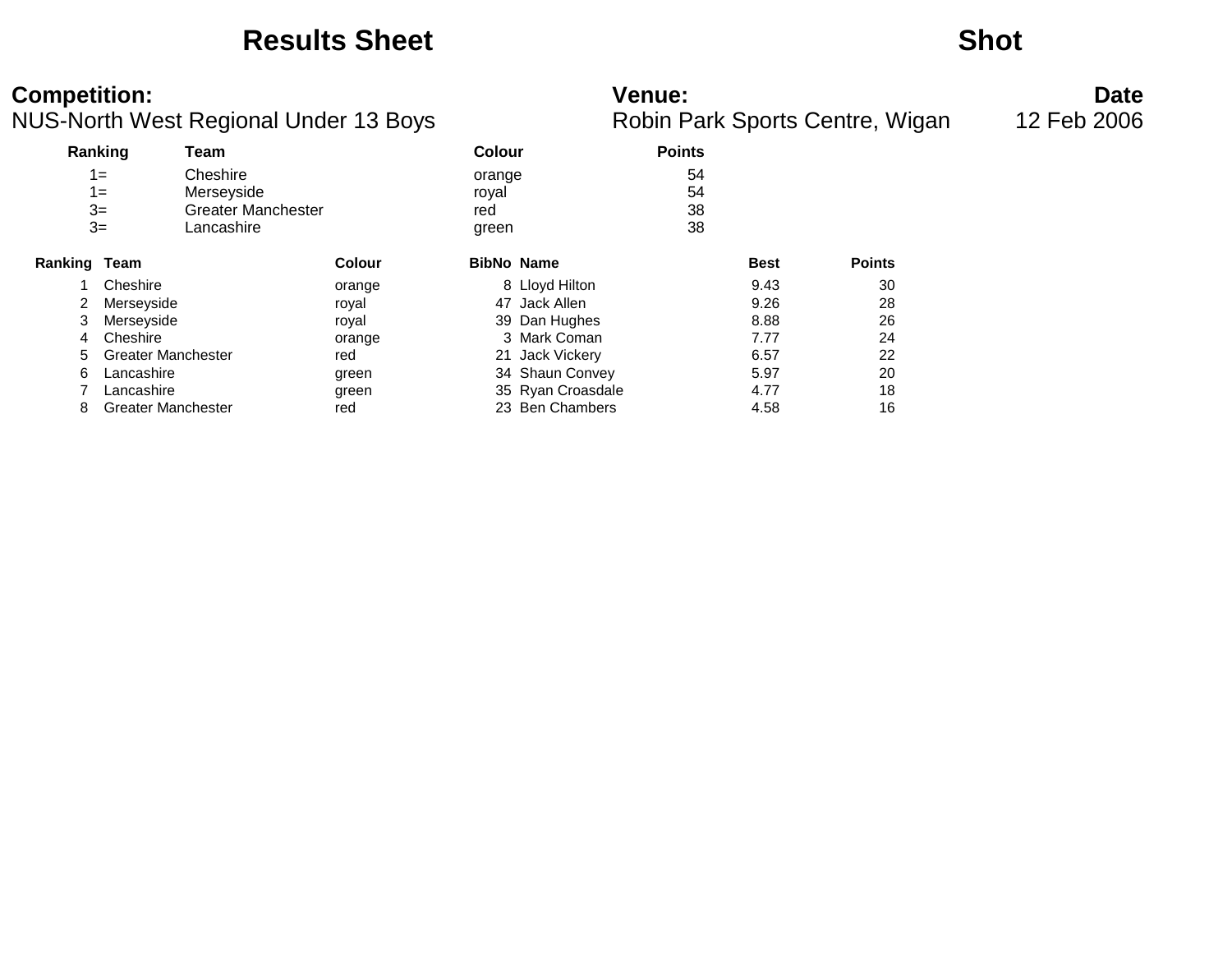### **Results Sheet Shot**

| <b>Competition:</b><br>NUS-North West Regional Under 13 Boys |                           |                                                     |               | <b>Venue:</b><br>Robin Park Sports Centre, Wigan |                   |                |             |               | <b>Date</b><br>12 Feb 2006 |
|--------------------------------------------------------------|---------------------------|-----------------------------------------------------|---------------|--------------------------------------------------|-------------------|----------------|-------------|---------------|----------------------------|
|                                                              | Ranking                   | Team                                                |               | <b>Colour</b>                                    |                   | <b>Points</b>  |             |               |                            |
|                                                              | $1 =$<br>$1 =$<br>$3=$    | Cheshire<br>Merseyside<br><b>Greater Manchester</b> |               | orange<br>royal                                  |                   | 54<br>54<br>38 |             |               |                            |
|                                                              | $3=$                      | Lancashire                                          |               | red<br>green                                     |                   | 38             |             |               |                            |
| Ranking Team                                                 |                           |                                                     | <b>Colour</b> |                                                  | <b>BibNo Name</b> |                | <b>Best</b> | <b>Points</b> |                            |
|                                                              | Cheshire                  |                                                     | orange        |                                                  | 8 Lloyd Hilton    |                | 9.43        | 30            |                            |
|                                                              | Merseyside                |                                                     | royal         |                                                  | 47 Jack Allen     |                | 9.26        | 28            |                            |
|                                                              | Merseyside                |                                                     | royal         |                                                  | 39 Dan Hughes     |                | 8.88        | 26            |                            |
| 4                                                            | Cheshire                  |                                                     | orange        |                                                  | 3 Mark Coman      |                | 7.77        | 24            |                            |
| 5.                                                           | <b>Greater Manchester</b> |                                                     | red           |                                                  | 21 Jack Vickery   |                | 6.57        | 22            |                            |
| 6                                                            | Lancashire                |                                                     | green         |                                                  | 34 Shaun Convey   |                | 5.97        | 20            |                            |
|                                                              | Lancashire                |                                                     | green         |                                                  | 35 Ryan Croasdale |                | 4.77        | 18            |                            |
| 8                                                            | <b>Greater Manchester</b> |                                                     | red           |                                                  | 23 Ben Chambers   |                | 4.58        | 16            |                            |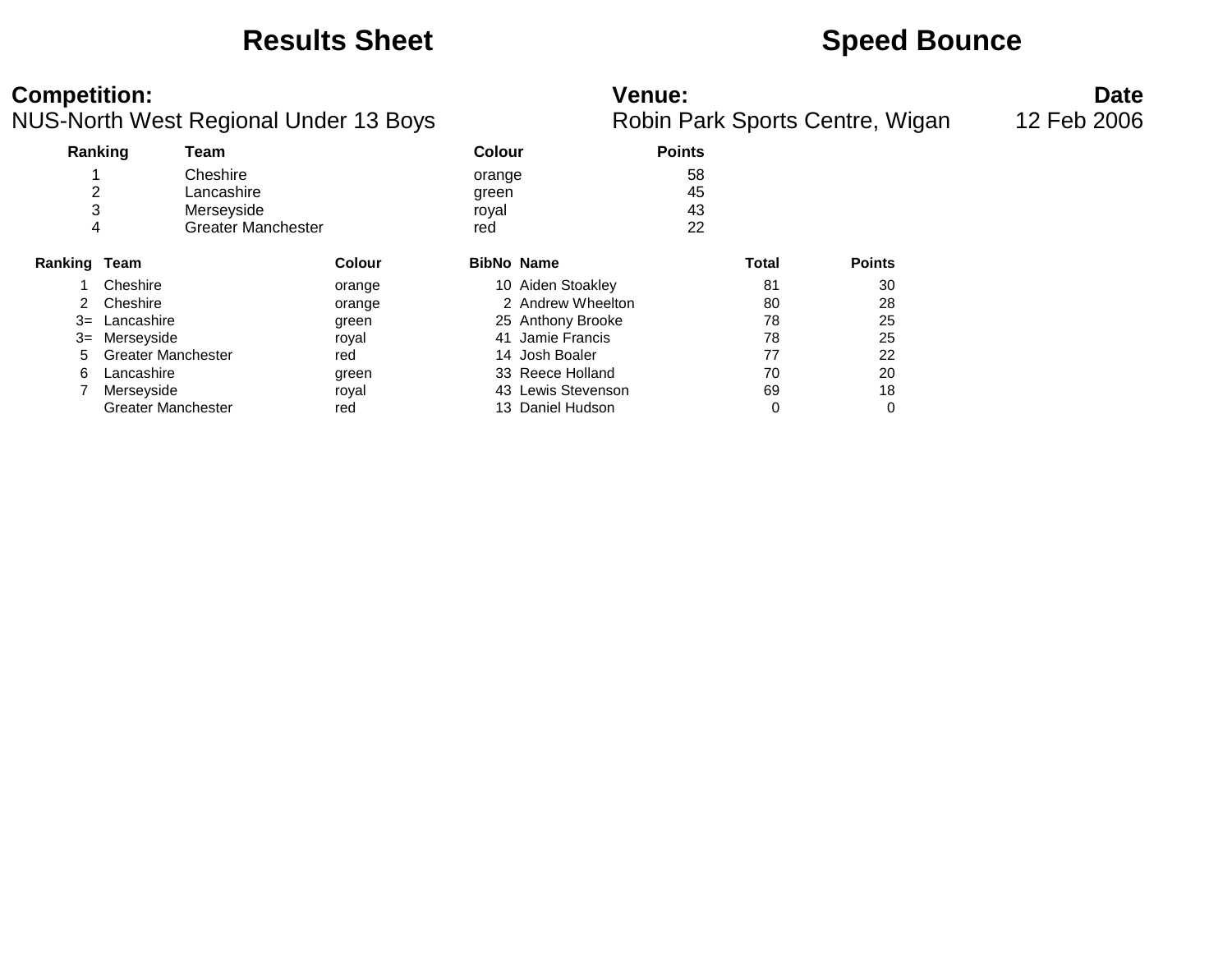### **Results Sheet Speed Bounce**

### **Competition: Venue: Date**

|              |                           | ັ                         |                   |                    |               |              |               |
|--------------|---------------------------|---------------------------|-------------------|--------------------|---------------|--------------|---------------|
|              | Ranking<br>Team           |                           | <b>Colour</b>     |                    | <b>Points</b> |              |               |
|              | Cheshire                  |                           | orange            |                    | 58            |              |               |
| 2            |                           | Lancashire                | green             |                    | 45            |              |               |
| 3            |                           | Merseyside                | royal             |                    | 43            |              |               |
| 4            |                           | <b>Greater Manchester</b> | red               |                    | 22            |              |               |
| Ranking Team |                           | <b>Colour</b>             | <b>BibNo Name</b> |                    |               | <b>Total</b> | <b>Points</b> |
|              | Cheshire                  | orange                    |                   | 10 Aiden Stoakley  |               | 81           | 30            |
| 2            | Cheshire                  | orange                    |                   | 2 Andrew Wheelton  |               | 80           | 28            |
| $3=$         | Lancashire                | green                     |                   | 25 Anthony Brooke  |               | 78           | 25            |
| 3=           | Merseyside                | royal                     |                   | 41 Jamie Francis   |               | 78           | 25            |
| 5            | <b>Greater Manchester</b> | red                       |                   | 14 Josh Boaler     |               | 77           | 22            |
| 6            | Lancashire                | green                     |                   | 33 Reece Holland   |               | 70           | 20            |
|              | Merseyside                | royal                     |                   | 43 Lewis Stevenson |               | 69           | 18            |
|              | <b>Greater Manchester</b> | red                       |                   | 13 Daniel Hudson   |               | 0            | 0             |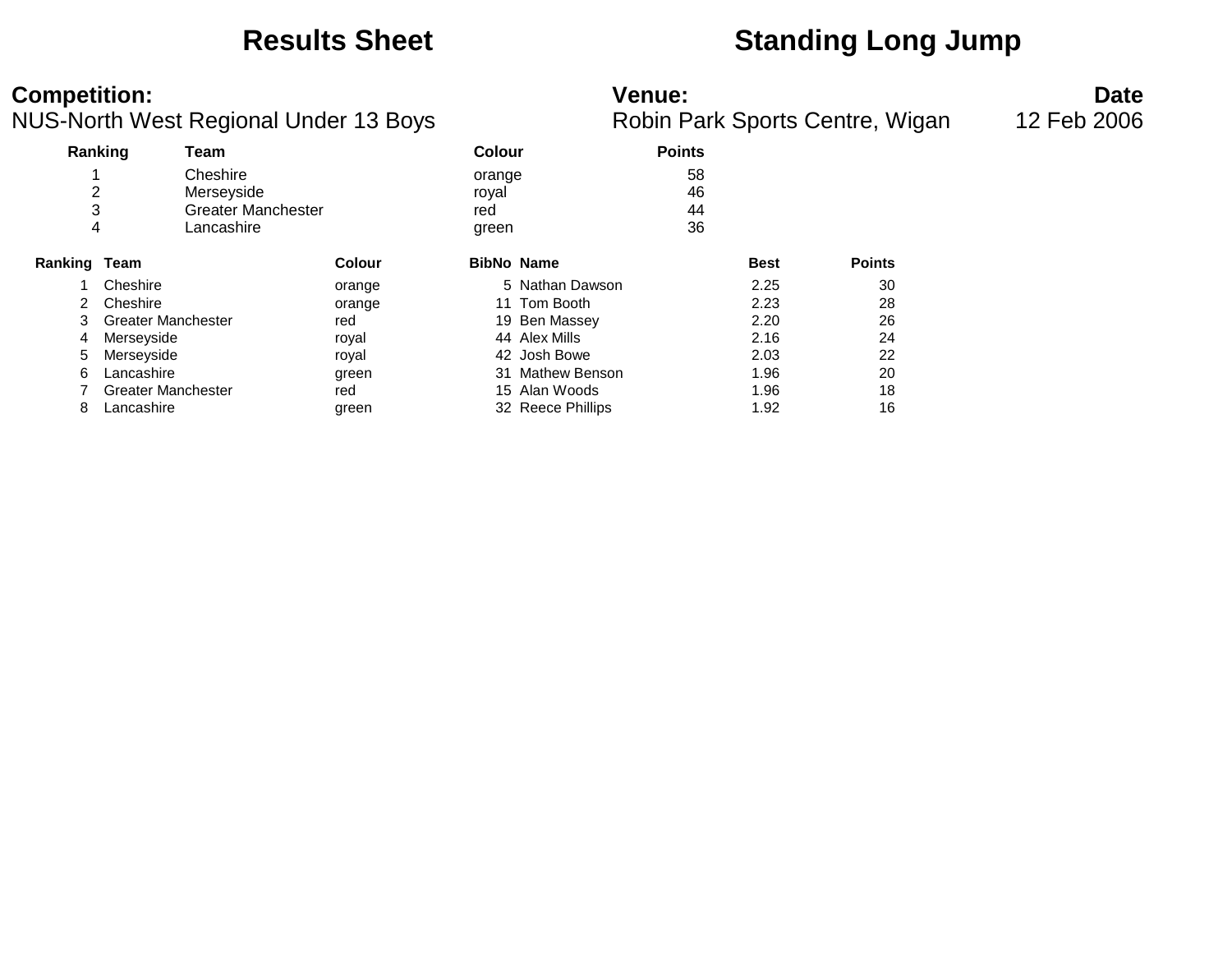### **Results Sheet Standing Long Jump**

### **Competition: Venue: Date**

| Ranking<br>Team           |               | Colour                                                            |         | <b>Points</b>                                                                                                                                                                       |             |               |
|---------------------------|---------------|-------------------------------------------------------------------|---------|-------------------------------------------------------------------------------------------------------------------------------------------------------------------------------------|-------------|---------------|
|                           |               |                                                                   |         | 58                                                                                                                                                                                  |             |               |
| 2                         |               | royal                                                             |         | 46                                                                                                                                                                                  |             |               |
| 3                         |               | red                                                               |         | 44                                                                                                                                                                                  |             |               |
| 4                         |               |                                                                   |         | 36                                                                                                                                                                                  |             |               |
| <b>Ranking Team</b>       | <b>Colour</b> |                                                                   |         |                                                                                                                                                                                     | <b>Best</b> | <b>Points</b> |
| Cheshire                  | orange        |                                                                   |         |                                                                                                                                                                                     | 2.25        | 30            |
| Cheshire                  | orange        |                                                                   |         |                                                                                                                                                                                     | 2.23        | 28            |
| <b>Greater Manchester</b> | red           |                                                                   |         |                                                                                                                                                                                     | 2.20        | 26            |
| Merseyside                | royal         |                                                                   |         |                                                                                                                                                                                     | 2.16        | 24            |
| Merseyside                | royal         |                                                                   |         |                                                                                                                                                                                     | 2.03        | 22            |
| Lancashire                | green         |                                                                   |         |                                                                                                                                                                                     | 1.96        | 20            |
| <b>Greater Manchester</b> | red           |                                                                   |         |                                                                                                                                                                                     | 1.96        | 18            |
| Lancashire                | green         |                                                                   |         |                                                                                                                                                                                     | 1.92        | 16            |
|                           |               | Cheshire<br>Merseyside<br><b>Greater Manchester</b><br>Lancashire | $\cdot$ | orange<br>green<br><b>BibNo Name</b><br>5 Nathan Dawson<br>11 Tom Booth<br>19 Ben Massey<br>44 Alex Mills<br>42 Josh Bowe<br>31 Mathew Benson<br>15 Alan Woods<br>32 Reece Phillips |             |               |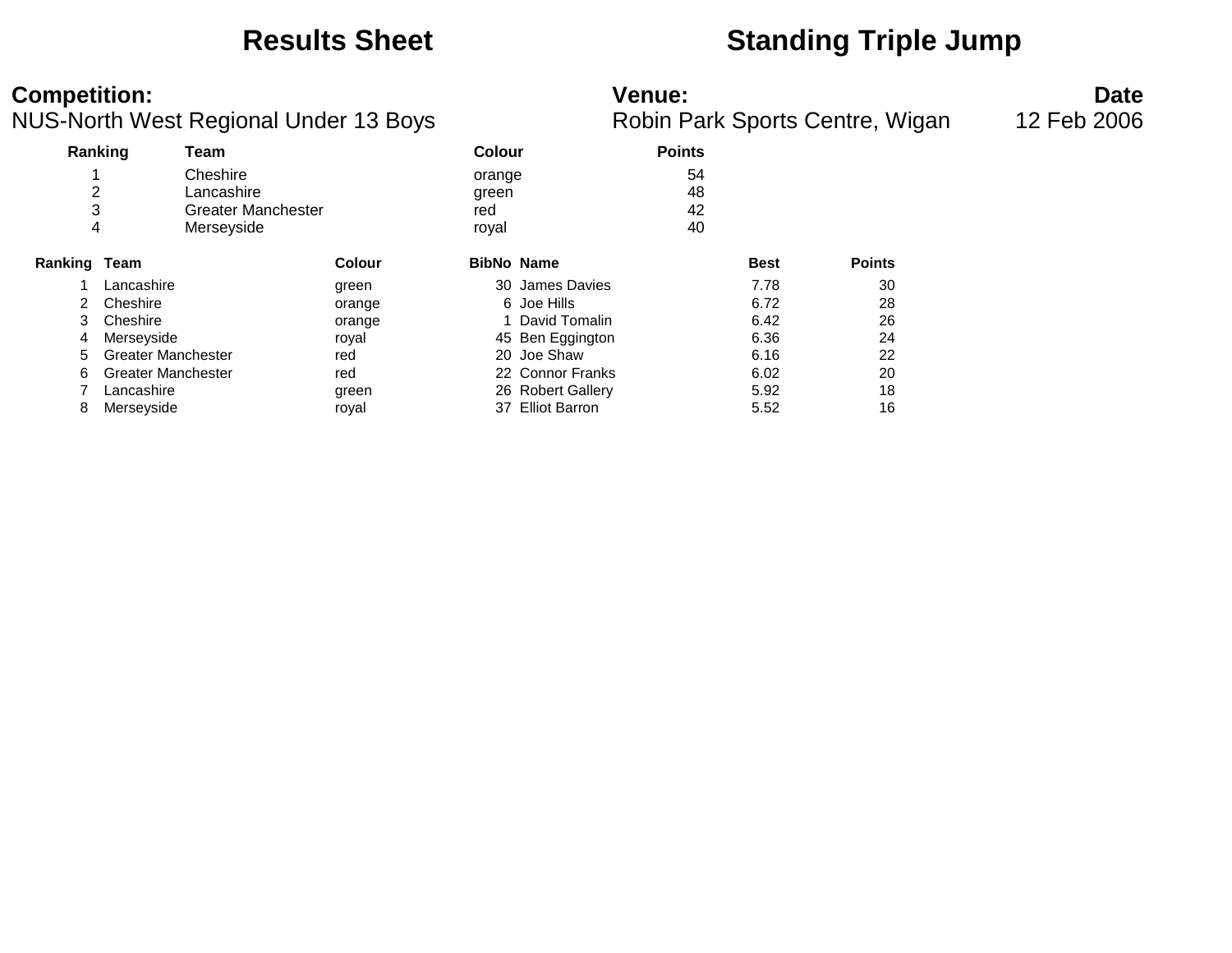### **Results Sheet Standing Triple Jump**

### **Competition: Venue: Date**

|                     |                           |                           |               |               | $\cdots$ and $\cdots$<br>. |               |             |               |  |  |
|---------------------|---------------------------|---------------------------|---------------|---------------|----------------------------|---------------|-------------|---------------|--|--|
|                     | Ranking                   | Team                      |               | <b>Colour</b> |                            | <b>Points</b> |             |               |  |  |
|                     |                           | Cheshire                  |               | orange        |                            | 54            |             |               |  |  |
| 2                   |                           | Lancashire                |               | green         |                            | 48            |             |               |  |  |
| 3                   |                           | <b>Greater Manchester</b> |               | red           |                            | 42            |             |               |  |  |
| 4                   |                           | Merseyside                |               | royal         |                            | 40            |             |               |  |  |
| <b>Ranking Team</b> |                           |                           | <b>Colour</b> |               | <b>BibNo Name</b>          |               | <b>Best</b> | <b>Points</b> |  |  |
|                     | Lancashire                |                           | green         |               | 30 James Davies            |               | 7.78        | 30            |  |  |
| 2                   | Cheshire                  |                           | orange        |               | 6 Joe Hills                |               | 6.72        | 28            |  |  |
| 3                   | Cheshire                  |                           | orange        |               | 1 David Tomalin            |               | 6.42        | 26            |  |  |
| 4                   | Merseyside                |                           | royal         |               | 45 Ben Eggington           |               | 6.36        | 24            |  |  |
| 5                   | <b>Greater Manchester</b> |                           | red           |               | 20 Joe Shaw                |               | 6.16        | 22            |  |  |
| 6                   | <b>Greater Manchester</b> |                           | red           |               | 22 Connor Franks           |               | 6.02        | 20            |  |  |
|                     | Lancashire                |                           | green         |               | 26 Robert Gallery          |               | 5.92        | 18            |  |  |
| 8                   | Merseyside                |                           | royal         |               | 37 Elliot Barron           |               | 5.52        | 16            |  |  |
|                     |                           |                           |               |               |                            |               |             |               |  |  |